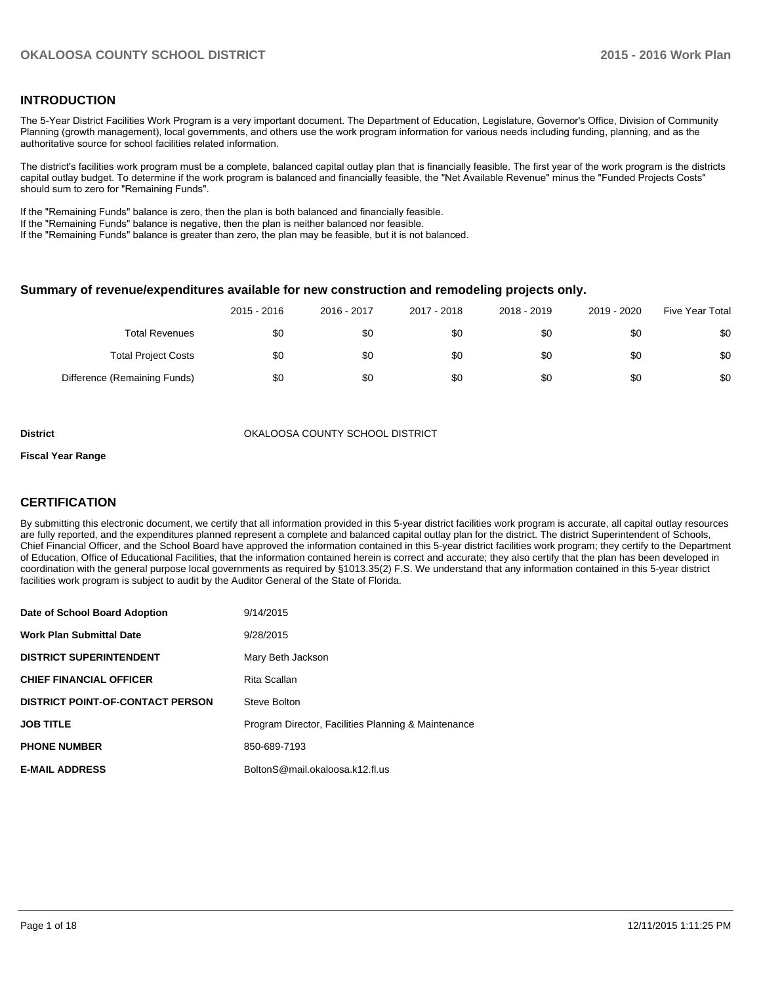## **INTRODUCTION**

The 5-Year District Facilities Work Program is a very important document. The Department of Education, Legislature, Governor's Office, Division of Community Planning (growth management), local governments, and others use the work program information for various needs including funding, planning, and as the authoritative source for school facilities related information.

The district's facilities work program must be a complete, balanced capital outlay plan that is financially feasible. The first year of the work program is the districts capital outlay budget. To determine if the work program is balanced and financially feasible, the "Net Available Revenue" minus the "Funded Projects Costs" should sum to zero for "Remaining Funds".

If the "Remaining Funds" balance is zero, then the plan is both balanced and financially feasible.

If the "Remaining Funds" balance is negative, then the plan is neither balanced nor feasible.

If the "Remaining Funds" balance is greater than zero, the plan may be feasible, but it is not balanced.

#### **Summary of revenue/expenditures available for new construction and remodeling projects only.**

|                              | 2015 - 2016 | 2016 - 2017 | 2017 - 2018 | 2018 - 2019 | 2019 - 2020 | <b>Five Year Total</b> |
|------------------------------|-------------|-------------|-------------|-------------|-------------|------------------------|
| <b>Total Revenues</b>        | \$0         | \$0         | \$0         | \$0         | \$0         | \$0                    |
| <b>Total Project Costs</b>   | \$0         | \$0         | \$0         | \$0         | \$0         | \$0                    |
| Difference (Remaining Funds) | \$0         | \$0         | \$0         | \$0         | \$0         | \$0                    |

**District COUNTY SCHOOL DISTRICT** OKALOOSA COUNTY SCHOOL DISTRICT

#### **Fiscal Year Range**

## **CERTIFICATION**

By submitting this electronic document, we certify that all information provided in this 5-year district facilities work program is accurate, all capital outlay resources are fully reported, and the expenditures planned represent a complete and balanced capital outlay plan for the district. The district Superintendent of Schools, Chief Financial Officer, and the School Board have approved the information contained in this 5-year district facilities work program; they certify to the Department of Education, Office of Educational Facilities, that the information contained herein is correct and accurate; they also certify that the plan has been developed in coordination with the general purpose local governments as required by §1013.35(2) F.S. We understand that any information contained in this 5-year district facilities work program is subject to audit by the Auditor General of the State of Florida.

| Date of School Board Adoption           | 9/14/2015                                           |
|-----------------------------------------|-----------------------------------------------------|
| <b>Work Plan Submittal Date</b>         | 9/28/2015                                           |
| <b>DISTRICT SUPERINTENDENT</b>          | Mary Beth Jackson                                   |
| <b>CHIEF FINANCIAL OFFICER</b>          | Rita Scallan                                        |
| <b>DISTRICT POINT-OF-CONTACT PERSON</b> | Steve Bolton                                        |
| <b>JOB TITLE</b>                        | Program Director, Facilities Planning & Maintenance |
| <b>PHONE NUMBER</b>                     | 850-689-7193                                        |
| <b>E-MAIL ADDRESS</b>                   | BoltonS@mail.okaloosa.k12.fl.us                     |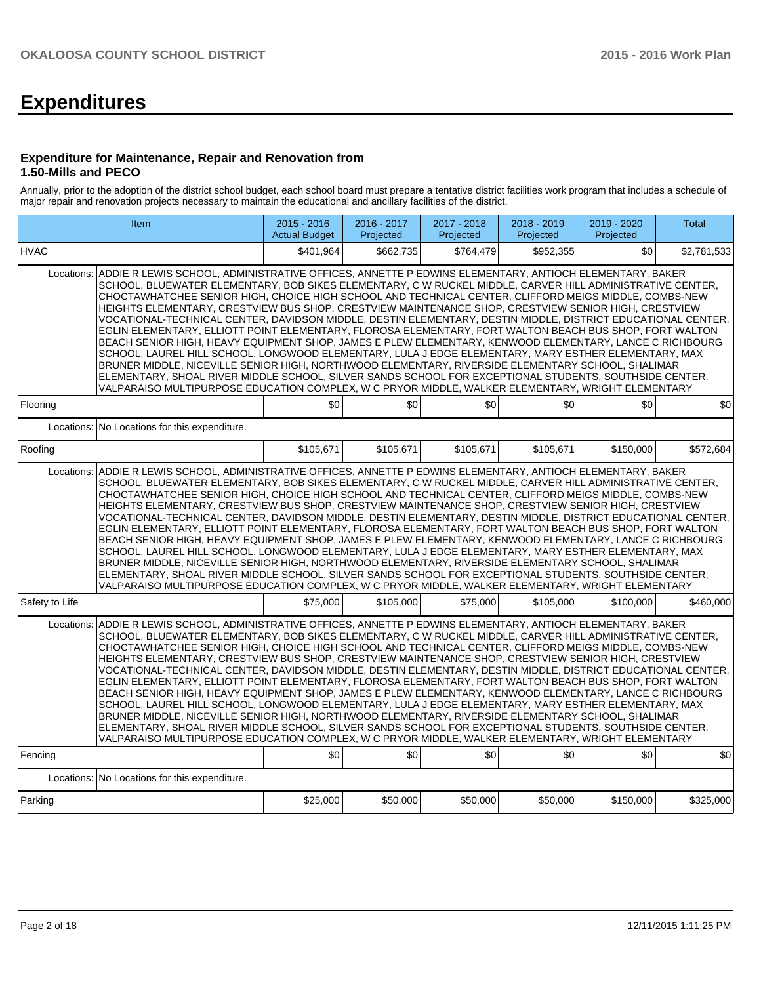# **Expenditures**

#### **Expenditure for Maintenance, Repair and Renovation from 1.50-Mills and PECO**

Annually, prior to the adoption of the district school budget, each school board must prepare a tentative district facilities work program that includes a schedule of major repair and renovation projects necessary to maintain the educational and ancillary facilities of the district.

| Item                                                                                                                                                                                                                                                                                                                                                                                                                                                                                                                                                                                                                                                                                                                                                                                                                                                                                                                                                                                                                                                                                                                                                                                                                          |                                                                                                                                                                                                                                                                                                                                                                                                                                                                                                                                                                                                                                                                                                                                                                                                                                                                                                                                                                                                                                                                                                               | $2015 - 2016$<br><b>Actual Budget</b> | 2016 - 2017<br>Projected | 2017 - 2018<br>Projected | 2018 - 2019<br>Projected | 2019 - 2020<br>Projected | <b>Total</b> |  |  |  |
|-------------------------------------------------------------------------------------------------------------------------------------------------------------------------------------------------------------------------------------------------------------------------------------------------------------------------------------------------------------------------------------------------------------------------------------------------------------------------------------------------------------------------------------------------------------------------------------------------------------------------------------------------------------------------------------------------------------------------------------------------------------------------------------------------------------------------------------------------------------------------------------------------------------------------------------------------------------------------------------------------------------------------------------------------------------------------------------------------------------------------------------------------------------------------------------------------------------------------------|---------------------------------------------------------------------------------------------------------------------------------------------------------------------------------------------------------------------------------------------------------------------------------------------------------------------------------------------------------------------------------------------------------------------------------------------------------------------------------------------------------------------------------------------------------------------------------------------------------------------------------------------------------------------------------------------------------------------------------------------------------------------------------------------------------------------------------------------------------------------------------------------------------------------------------------------------------------------------------------------------------------------------------------------------------------------------------------------------------------|---------------------------------------|--------------------------|--------------------------|--------------------------|--------------------------|--------------|--|--|--|
| <b>HVAC</b>                                                                                                                                                                                                                                                                                                                                                                                                                                                                                                                                                                                                                                                                                                                                                                                                                                                                                                                                                                                                                                                                                                                                                                                                                   |                                                                                                                                                                                                                                                                                                                                                                                                                                                                                                                                                                                                                                                                                                                                                                                                                                                                                                                                                                                                                                                                                                               | \$401,964                             | \$662,735                | \$764,479                | \$952,355                | \$0                      | \$2,781,533  |  |  |  |
| Locations:<br>ADDIE R LEWIS SCHOOL, ADMINISTRATIVE OFFICES, ANNETTE P EDWINS ELEMENTARY, ANTIOCH ELEMENTARY, BAKER<br>SCHOOL, BLUEWATER ELEMENTARY, BOB SIKES ELEMENTARY, C W RUCKEL MIDDLE, CARVER HILL ADMINISTRATIVE CENTER,<br>CHOCTAWHATCHEE SENIOR HIGH, CHOICE HIGH SCHOOL AND TECHNICAL CENTER, CLIFFORD MEIGS MIDDLE, COMBS-NEW<br>HEIGHTS ELEMENTARY, CRESTVIEW BUS SHOP, CRESTVIEW MAINTENANCE SHOP, CRESTVIEW SENIOR HIGH, CRESTVIEW<br>VOCATIONAL-TECHNICAL CENTER, DAVIDSON MIDDLE, DESTIN ELEMENTARY, DESTIN MIDDLE, DISTRICT EDUCATIONAL CENTER,<br>EGLIN ELEMENTARY, ELLIOTT POINT ELEMENTARY, FLOROSA ELEMENTARY, FORT WALTON BEACH BUS SHOP, FORT WALTON<br>BEACH SENIOR HIGH, HEAVY EQUIPMENT SHOP, JAMES E PLEW ELEMENTARY, KENWOOD ELEMENTARY, LANCE C RICHBOURG<br>SCHOOL, LAUREL HILL SCHOOL, LONGWOOD ELEMENTARY, LULA J EDGE ELEMENTARY, MARY ESTHER ELEMENTARY, MAX<br>BRUNER MIDDLE, NICEVILLE SENIOR HIGH, NORTHWOOD ELEMENTARY, RIVERSIDE ELEMENTARY SCHOOL, SHALIMAR<br>ELEMENTARY, SHOAL RIVER MIDDLE SCHOOL, SILVER SANDS SCHOOL FOR EXCEPTIONAL STUDENTS, SOUTHSIDE CENTER,<br>VALPARAISO MULTIPURPOSE EDUCATION COMPLEX, W C PRYOR MIDDLE, WALKER ELEMENTARY, WRIGHT ELEMENTARY            |                                                                                                                                                                                                                                                                                                                                                                                                                                                                                                                                                                                                                                                                                                                                                                                                                                                                                                                                                                                                                                                                                                               |                                       |                          |                          |                          |                          |              |  |  |  |
| Flooring                                                                                                                                                                                                                                                                                                                                                                                                                                                                                                                                                                                                                                                                                                                                                                                                                                                                                                                                                                                                                                                                                                                                                                                                                      |                                                                                                                                                                                                                                                                                                                                                                                                                                                                                                                                                                                                                                                                                                                                                                                                                                                                                                                                                                                                                                                                                                               | \$0                                   | \$0                      | \$0 <sub>1</sub>         | \$0                      | \$0                      | \$0          |  |  |  |
| Locations: No Locations for this expenditure.                                                                                                                                                                                                                                                                                                                                                                                                                                                                                                                                                                                                                                                                                                                                                                                                                                                                                                                                                                                                                                                                                                                                                                                 |                                                                                                                                                                                                                                                                                                                                                                                                                                                                                                                                                                                                                                                                                                                                                                                                                                                                                                                                                                                                                                                                                                               |                                       |                          |                          |                          |                          |              |  |  |  |
| Roofing                                                                                                                                                                                                                                                                                                                                                                                                                                                                                                                                                                                                                                                                                                                                                                                                                                                                                                                                                                                                                                                                                                                                                                                                                       |                                                                                                                                                                                                                                                                                                                                                                                                                                                                                                                                                                                                                                                                                                                                                                                                                                                                                                                                                                                                                                                                                                               | \$105.671                             | \$105,671                | \$105,671                | \$105.671                | \$150,000                | \$572,684    |  |  |  |
| VALPARAISO MULTIPURPOSE EDUCATION COMPLEX, W C PRYOR MIDDLE, WALKER ELEMENTARY, WRIGHT ELEMENTARY                                                                                                                                                                                                                                                                                                                                                                                                                                                                                                                                                                                                                                                                                                                                                                                                                                                                                                                                                                                                                                                                                                                             | ADDIE R LEWIS SCHOOL, ADMINISTRATIVE OFFICES, ANNETTE P EDWINS ELEMENTARY, ANTIOCH ELEMENTARY, BAKER<br>Locations:<br>SCHOOL, BLUEWATER ELEMENTARY, BOB SIKES ELEMENTARY, C W RUCKEL MIDDLE, CARVER HILL ADMINISTRATIVE CENTER,<br>CHOCTAWHATCHEE SENIOR HIGH, CHOICE HIGH SCHOOL AND TECHNICAL CENTER, CLIFFORD MEIGS MIDDLE, COMBS-NEW<br>HEIGHTS ELEMENTARY, CRESTVIEW BUS SHOP, CRESTVIEW MAINTENANCE SHOP, CRESTVIEW SENIOR HIGH, CRESTVIEW<br>VOCATIONAL-TECHNICAL CENTER, DAVIDSON MIDDLE, DESTIN ELEMENTARY, DESTIN MIDDLE, DISTRICT EDUCATIONAL CENTER,<br>EGLIN ELEMENTARY, ELLIOTT POINT ELEMENTARY, FLOROSA ELEMENTARY, FORT WALTON BEACH BUS SHOP, FORT WALTON<br>BEACH SENIOR HIGH, HEAVY EQUIPMENT SHOP, JAMES E PLEW ELEMENTARY, KENWOOD ELEMENTARY, LANCE C RICHBOURG<br>SCHOOL, LAUREL HILL SCHOOL, LONGWOOD ELEMENTARY, LULA J EDGE ELEMENTARY, MARY ESTHER ELEMENTARY, MAX<br>BRUNER MIDDLE, NICEVILLE SENIOR HIGH, NORTHWOOD ELEMENTARY, RIVERSIDE ELEMENTARY SCHOOL, SHALIMAR<br>ELEMENTARY, SHOAL RIVER MIDDLE SCHOOL, SILVER SANDS SCHOOL FOR EXCEPTIONAL STUDENTS, SOUTHSIDE CENTER, |                                       |                          |                          |                          |                          |              |  |  |  |
| Safety to Life                                                                                                                                                                                                                                                                                                                                                                                                                                                                                                                                                                                                                                                                                                                                                                                                                                                                                                                                                                                                                                                                                                                                                                                                                |                                                                                                                                                                                                                                                                                                                                                                                                                                                                                                                                                                                                                                                                                                                                                                                                                                                                                                                                                                                                                                                                                                               | \$75,000                              | \$105,000                | \$75,000                 | \$105,000                | \$100,000                | \$460.000    |  |  |  |
| ADDIE R LEWIS SCHOOL, ADMINISTRATIVE OFFICES, ANNETTE P EDWINS ELEMENTARY, ANTIOCH ELEMENTARY, BAKER<br>Locations:<br>SCHOOL, BLUEWATER ELEMENTARY, BOB SIKES ELEMENTARY, C W RUCKEL MIDDLE, CARVER HILL ADMINISTRATIVE CENTER,<br>CHOCTAWHATCHEE SENIOR HIGH, CHOICE HIGH SCHOOL AND TECHNICAL CENTER, CLIFFORD MEIGS MIDDLE, COMBS-NEW<br>HEIGHTS ELEMENTARY, CRESTVIEW BUS SHOP, CRESTVIEW MAINTENANCE SHOP, CRESTVIEW SENIOR HIGH, CRESTVIEW<br>VOCATIONAL-TECHNICAL CENTER, DAVIDSON MIDDLE, DESTIN ELEMENTARY, DESTIN MIDDLE, DISTRICT EDUCATIONAL CENTER,<br>EGLIN ELEMENTARY, ELLIOTT POINT ELEMENTARY, FLOROSA ELEMENTARY, FORT WALTON BEACH BUS SHOP, FORT WALTON<br>BEACH SENIOR HIGH, HEAVY EQUIPMENT SHOP, JAMES E PLEW ELEMENTARY, KENWOOD ELEMENTARY, LANCE C RICHBOURG<br>SCHOOL, LAUREL HILL SCHOOL, LONGWOOD ELEMENTARY, LULA J EDGE ELEMENTARY, MARY ESTHER ELEMENTARY, MAX<br>BRUNER MIDDLE, NICEVILLE SENIOR HIGH, NORTHWOOD ELEMENTARY, RIVERSIDE ELEMENTARY SCHOOL, SHALIMAR<br>ELEMENTARY, SHOAL RIVER MIDDLE SCHOOL, SILVER SANDS SCHOOL FOR EXCEPTIONAL STUDENTS, SOUTHSIDE CENTER,<br>VALPARAISO MULTIPURPOSE EDUCATION COMPLEX, W C PRYOR MIDDLE, WALKER ELEMENTARY, WRIGHT ELEMENTARY<br>Fencing |                                                                                                                                                                                                                                                                                                                                                                                                                                                                                                                                                                                                                                                                                                                                                                                                                                                                                                                                                                                                                                                                                                               | \$0                                   | \$0                      | \$0                      | \$0                      | \$0                      | \$0          |  |  |  |
| Locations:<br>No Locations for this expenditure.                                                                                                                                                                                                                                                                                                                                                                                                                                                                                                                                                                                                                                                                                                                                                                                                                                                                                                                                                                                                                                                                                                                                                                              |                                                                                                                                                                                                                                                                                                                                                                                                                                                                                                                                                                                                                                                                                                                                                                                                                                                                                                                                                                                                                                                                                                               |                                       |                          |                          |                          |                          |              |  |  |  |
| Parking                                                                                                                                                                                                                                                                                                                                                                                                                                                                                                                                                                                                                                                                                                                                                                                                                                                                                                                                                                                                                                                                                                                                                                                                                       |                                                                                                                                                                                                                                                                                                                                                                                                                                                                                                                                                                                                                                                                                                                                                                                                                                                                                                                                                                                                                                                                                                               | \$25,000                              | \$50,000                 | \$50,000                 | \$50,000                 | \$150,000                | \$325,000    |  |  |  |
|                                                                                                                                                                                                                                                                                                                                                                                                                                                                                                                                                                                                                                                                                                                                                                                                                                                                                                                                                                                                                                                                                                                                                                                                                               |                                                                                                                                                                                                                                                                                                                                                                                                                                                                                                                                                                                                                                                                                                                                                                                                                                                                                                                                                                                                                                                                                                               |                                       |                          |                          |                          |                          |              |  |  |  |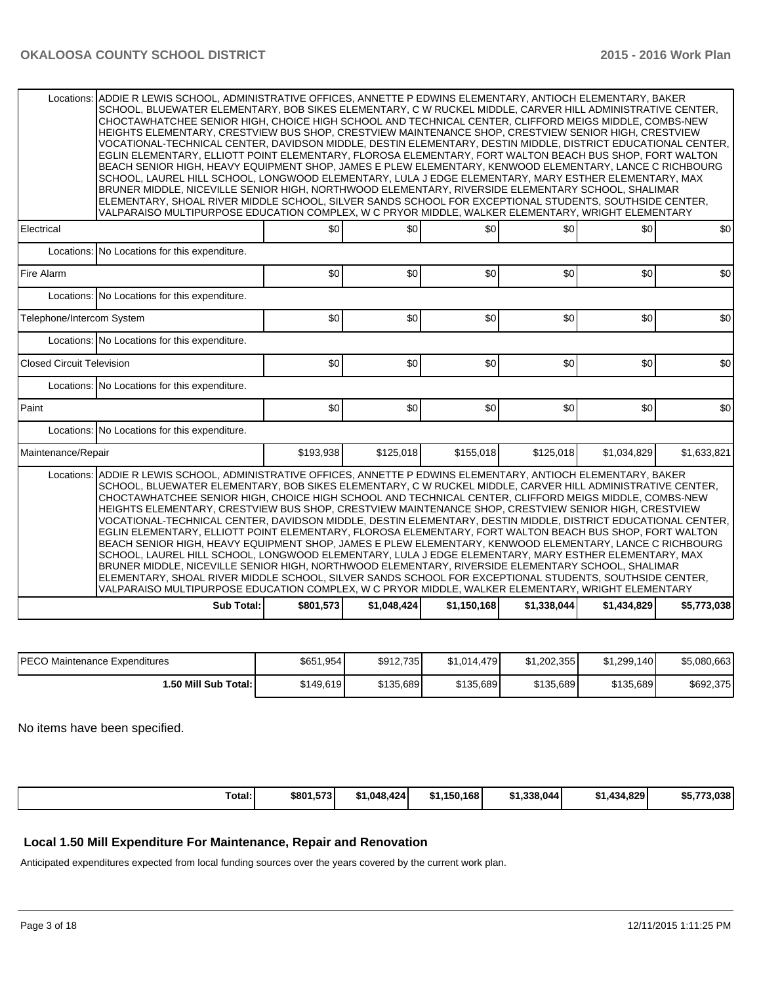|                                                                                                                                                                                                                                                                                                                                                                                                                                                                                                                                                                                                                                                                                                                                                                                                                                                                                                                                                                                                                                                                                                                                                                                                                    | ADDIE R LEWIS SCHOOL, ADMINISTRATIVE OFFICES, ANNETTE P EDWINS ELEMENTARY, ANTIOCH ELEMENTARY, BAKER<br>Locations:<br>SCHOOL, BLUEWATER ELEMENTARY, BOB SIKES ELEMENTARY, C W RUCKEL MIDDLE, CARVER HILL ADMINISTRATIVE CENTER,<br>CHOCTAWHATCHEE SENIOR HIGH. CHOICE HIGH SCHOOL AND TECHNICAL CENTER. CLIFFORD MEIGS MIDDLE. COMBS-NEW<br>HEIGHTS ELEMENTARY, CRESTVIEW BUS SHOP, CRESTVIEW MAINTENANCE SHOP, CRESTVIEW SENIOR HIGH, CRESTVIEW<br>VOCATIONAL-TECHNICAL CENTER, DAVIDSON MIDDLE, DESTIN ELEMENTARY, DESTIN MIDDLE, DISTRICT EDUCATIONAL CENTER,<br>EGLIN ELEMENTARY, ELLIOTT POINT ELEMENTARY, FLOROSA ELEMENTARY, FORT WALTON BEACH BUS SHOP, FORT WALTON<br>BEACH SENIOR HIGH, HEAVY EQUIPMENT SHOP, JAMES E PLEW ELEMENTARY, KENWOOD ELEMENTARY, LANCE C RICHBOURG<br>SCHOOL, LAUREL HILL SCHOOL, LONGWOOD ELEMENTARY, LULA J EDGE ELEMENTARY, MARY ESTHER ELEMENTARY, MAX<br>BRUNER MIDDLE, NICEVILLE SENIOR HIGH, NORTHWOOD ELEMENTARY, RIVERSIDE ELEMENTARY SCHOOL, SHALIMAR<br>ELEMENTARY, SHOAL RIVER MIDDLE SCHOOL, SILVER SANDS SCHOOL FOR EXCEPTIONAL STUDENTS, SOUTHSIDE CENTER,<br>VALPARAISO MULTIPURPOSE EDUCATION COMPLEX, W C PRYOR MIDDLE, WALKER ELEMENTARY, WRIGHT ELEMENTARY |           |             |             |             |             |             |  |  |  |  |
|--------------------------------------------------------------------------------------------------------------------------------------------------------------------------------------------------------------------------------------------------------------------------------------------------------------------------------------------------------------------------------------------------------------------------------------------------------------------------------------------------------------------------------------------------------------------------------------------------------------------------------------------------------------------------------------------------------------------------------------------------------------------------------------------------------------------------------------------------------------------------------------------------------------------------------------------------------------------------------------------------------------------------------------------------------------------------------------------------------------------------------------------------------------------------------------------------------------------|--------------------------------------------------------------------------------------------------------------------------------------------------------------------------------------------------------------------------------------------------------------------------------------------------------------------------------------------------------------------------------------------------------------------------------------------------------------------------------------------------------------------------------------------------------------------------------------------------------------------------------------------------------------------------------------------------------------------------------------------------------------------------------------------------------------------------------------------------------------------------------------------------------------------------------------------------------------------------------------------------------------------------------------------------------------------------------------------------------------------------------------------------------------------------------------------------------------------|-----------|-------------|-------------|-------------|-------------|-------------|--|--|--|--|
| Electrical                                                                                                                                                                                                                                                                                                                                                                                                                                                                                                                                                                                                                                                                                                                                                                                                                                                                                                                                                                                                                                                                                                                                                                                                         |                                                                                                                                                                                                                                                                                                                                                                                                                                                                                                                                                                                                                                                                                                                                                                                                                                                                                                                                                                                                                                                                                                                                                                                                                    | \$0       | \$0         | \$0         | \$0         | \$0         | \$0         |  |  |  |  |
|                                                                                                                                                                                                                                                                                                                                                                                                                                                                                                                                                                                                                                                                                                                                                                                                                                                                                                                                                                                                                                                                                                                                                                                                                    |                                                                                                                                                                                                                                                                                                                                                                                                                                                                                                                                                                                                                                                                                                                                                                                                                                                                                                                                                                                                                                                                                                                                                                                                                    |           |             |             |             |             |             |  |  |  |  |
|                                                                                                                                                                                                                                                                                                                                                                                                                                                                                                                                                                                                                                                                                                                                                                                                                                                                                                                                                                                                                                                                                                                                                                                                                    | Locations: No Locations for this expenditure.                                                                                                                                                                                                                                                                                                                                                                                                                                                                                                                                                                                                                                                                                                                                                                                                                                                                                                                                                                                                                                                                                                                                                                      |           |             |             |             |             |             |  |  |  |  |
| Fire Alarm                                                                                                                                                                                                                                                                                                                                                                                                                                                                                                                                                                                                                                                                                                                                                                                                                                                                                                                                                                                                                                                                                                                                                                                                         |                                                                                                                                                                                                                                                                                                                                                                                                                                                                                                                                                                                                                                                                                                                                                                                                                                                                                                                                                                                                                                                                                                                                                                                                                    | \$0       | \$0         | \$0         | \$0         | \$0         | \$0         |  |  |  |  |
|                                                                                                                                                                                                                                                                                                                                                                                                                                                                                                                                                                                                                                                                                                                                                                                                                                                                                                                                                                                                                                                                                                                                                                                                                    | Locations: No Locations for this expenditure.                                                                                                                                                                                                                                                                                                                                                                                                                                                                                                                                                                                                                                                                                                                                                                                                                                                                                                                                                                                                                                                                                                                                                                      |           |             |             |             |             |             |  |  |  |  |
| Telephone/Intercom System                                                                                                                                                                                                                                                                                                                                                                                                                                                                                                                                                                                                                                                                                                                                                                                                                                                                                                                                                                                                                                                                                                                                                                                          |                                                                                                                                                                                                                                                                                                                                                                                                                                                                                                                                                                                                                                                                                                                                                                                                                                                                                                                                                                                                                                                                                                                                                                                                                    | \$0       | \$0         | \$0         | \$0         | \$0         | \$0         |  |  |  |  |
|                                                                                                                                                                                                                                                                                                                                                                                                                                                                                                                                                                                                                                                                                                                                                                                                                                                                                                                                                                                                                                                                                                                                                                                                                    | Locations: No Locations for this expenditure.                                                                                                                                                                                                                                                                                                                                                                                                                                                                                                                                                                                                                                                                                                                                                                                                                                                                                                                                                                                                                                                                                                                                                                      |           |             |             |             |             |             |  |  |  |  |
| <b>Closed Circuit Television</b>                                                                                                                                                                                                                                                                                                                                                                                                                                                                                                                                                                                                                                                                                                                                                                                                                                                                                                                                                                                                                                                                                                                                                                                   |                                                                                                                                                                                                                                                                                                                                                                                                                                                                                                                                                                                                                                                                                                                                                                                                                                                                                                                                                                                                                                                                                                                                                                                                                    | \$0       | \$0         | \$0         | \$0         | \$0         | \$0         |  |  |  |  |
|                                                                                                                                                                                                                                                                                                                                                                                                                                                                                                                                                                                                                                                                                                                                                                                                                                                                                                                                                                                                                                                                                                                                                                                                                    | Locations: No Locations for this expenditure.                                                                                                                                                                                                                                                                                                                                                                                                                                                                                                                                                                                                                                                                                                                                                                                                                                                                                                                                                                                                                                                                                                                                                                      |           |             |             |             |             |             |  |  |  |  |
| Paint                                                                                                                                                                                                                                                                                                                                                                                                                                                                                                                                                                                                                                                                                                                                                                                                                                                                                                                                                                                                                                                                                                                                                                                                              |                                                                                                                                                                                                                                                                                                                                                                                                                                                                                                                                                                                                                                                                                                                                                                                                                                                                                                                                                                                                                                                                                                                                                                                                                    | \$0       | \$0         | \$0         | \$0         | \$0         | \$0         |  |  |  |  |
|                                                                                                                                                                                                                                                                                                                                                                                                                                                                                                                                                                                                                                                                                                                                                                                                                                                                                                                                                                                                                                                                                                                                                                                                                    | Locations: No Locations for this expenditure.                                                                                                                                                                                                                                                                                                                                                                                                                                                                                                                                                                                                                                                                                                                                                                                                                                                                                                                                                                                                                                                                                                                                                                      |           |             |             |             |             |             |  |  |  |  |
| Maintenance/Repair                                                                                                                                                                                                                                                                                                                                                                                                                                                                                                                                                                                                                                                                                                                                                                                                                                                                                                                                                                                                                                                                                                                                                                                                 |                                                                                                                                                                                                                                                                                                                                                                                                                                                                                                                                                                                                                                                                                                                                                                                                                                                                                                                                                                                                                                                                                                                                                                                                                    | \$193,938 | \$125,018   | \$155,018   | \$125,018   | \$1,034,829 | \$1,633,821 |  |  |  |  |
| ADDIE R LEWIS SCHOOL, ADMINISTRATIVE OFFICES, ANNETTE P EDWINS ELEMENTARY, ANTIOCH ELEMENTARY, BAKER<br>Locations:<br>SCHOOL, BLUEWATER ELEMENTARY, BOB SIKES ELEMENTARY, C W RUCKEL MIDDLE, CARVER HILL ADMINISTRATIVE CENTER,<br>CHOCTAWHATCHEE SENIOR HIGH, CHOICE HIGH SCHOOL AND TECHNICAL CENTER, CLIFFORD MEIGS MIDDLE, COMBS-NEW<br>HEIGHTS ELEMENTARY, CRESTVIEW BUS SHOP, CRESTVIEW MAINTENANCE SHOP, CRESTVIEW SENIOR HIGH, CRESTVIEW<br>VOCATIONAL-TECHNICAL CENTER, DAVIDSON MIDDLE, DESTIN ELEMENTARY, DESTIN MIDDLE, DISTRICT EDUCATIONAL CENTER,<br>EGLIN ELEMENTARY, ELLIOTT POINT ELEMENTARY, FLOROSA ELEMENTARY, FORT WALTON BEACH BUS SHOP, FORT WALTON<br>BEACH SENIOR HIGH, HEAVY EQUIPMENT SHOP, JAMES E PLEW ELEMENTARY, KENWOOD ELEMENTARY, LANCE C RICHBOURG<br>SCHOOL, LAUREL HILL SCHOOL, LONGWOOD ELEMENTARY, LULA J EDGE ELEMENTARY, MARY ESTHER ELEMENTARY, MAX<br>BRUNER MIDDLE, NICEVILLE SENIOR HIGH, NORTHWOOD ELEMENTARY, RIVERSIDE ELEMENTARY SCHOOL, SHALIMAR<br>ELEMENTARY, SHOAL RIVER MIDDLE SCHOOL, SILVER SANDS SCHOOL FOR EXCEPTIONAL STUDENTS, SOUTHSIDE CENTER,<br>VALPARAISO MULTIPURPOSE EDUCATION COMPLEX, W C PRYOR MIDDLE, WALKER ELEMENTARY, WRIGHT ELEMENTARY |                                                                                                                                                                                                                                                                                                                                                                                                                                                                                                                                                                                                                                                                                                                                                                                                                                                                                                                                                                                                                                                                                                                                                                                                                    |           |             |             |             |             |             |  |  |  |  |
|                                                                                                                                                                                                                                                                                                                                                                                                                                                                                                                                                                                                                                                                                                                                                                                                                                                                                                                                                                                                                                                                                                                                                                                                                    | Sub Total:                                                                                                                                                                                                                                                                                                                                                                                                                                                                                                                                                                                                                                                                                                                                                                                                                                                                                                                                                                                                                                                                                                                                                                                                         | \$801.573 | \$1.048.424 | \$1.150.168 | \$1.338.044 | \$1.434.829 | \$5,773,038 |  |  |  |  |

| <b>IPECO Maintenance Expenditures</b> | \$651,954 | \$912,735 | \$1.014.479 | \$1,202,355 | \$1,299,140 | \$5,080,663 |
|---------------------------------------|-----------|-----------|-------------|-------------|-------------|-------------|
| 1.50 Mill Sub Total: I                | \$149,619 | \$135,689 | \$135,689   | \$135,689   | \$135,689   | \$692,375   |

No items have been specified.

| Total: | \$801,573 | \$1,048,424 | \$1,150,168 | \$1,338,044] | \$1,434,829 | ¢5 772<br>/3.038'<br>ov. |
|--------|-----------|-------------|-------------|--------------|-------------|--------------------------|
|--------|-----------|-------------|-------------|--------------|-------------|--------------------------|

# **Local 1.50 Mill Expenditure For Maintenance, Repair and Renovation**

Anticipated expenditures expected from local funding sources over the years covered by the current work plan.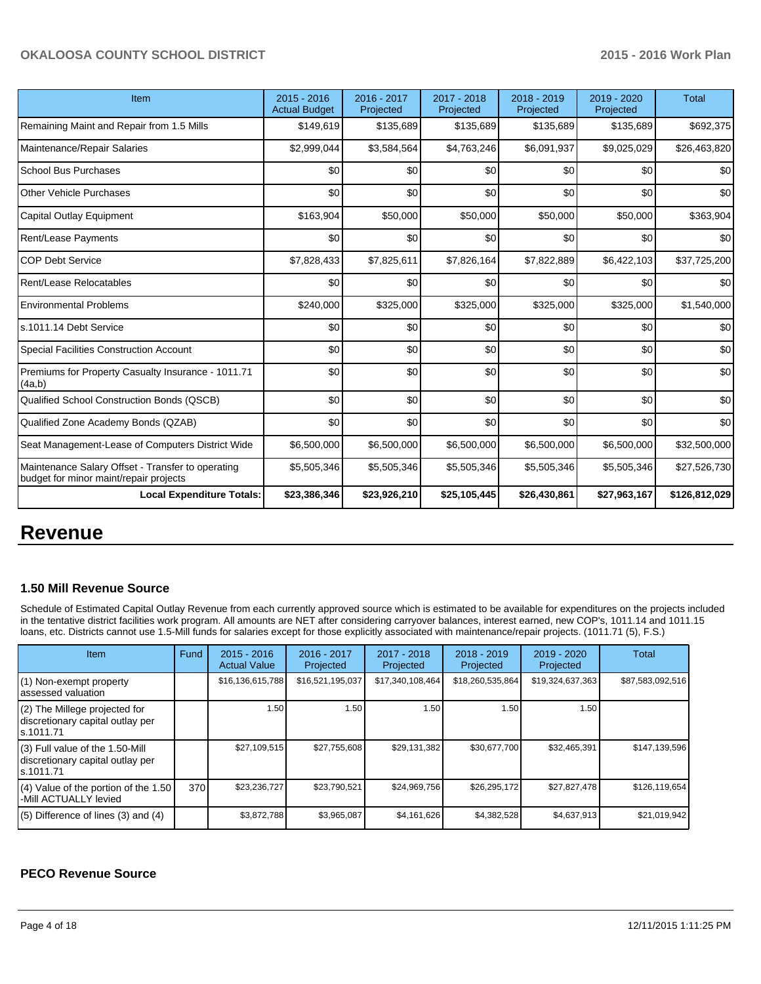| Item                                                                                        | $2015 - 2016$<br><b>Actual Budget</b> | 2016 - 2017<br>Projected | 2017 - 2018<br>Projected | 2018 - 2019<br>Projected | 2019 - 2020<br>Projected | <b>Total</b>  |
|---------------------------------------------------------------------------------------------|---------------------------------------|--------------------------|--------------------------|--------------------------|--------------------------|---------------|
| Remaining Maint and Repair from 1.5 Mills                                                   | \$149,619                             | \$135,689                | \$135,689                | \$135,689                | \$135,689                | \$692,375     |
| Maintenance/Repair Salaries                                                                 | \$2,999,044                           | \$3,584,564              | \$4,763,246              | \$6,091,937              | \$9,025,029              | \$26,463,820  |
| School Bus Purchases                                                                        | \$0                                   | \$0                      | \$0                      | \$0                      | \$0                      | \$0           |
| <b>Other Vehicle Purchases</b>                                                              | \$0                                   | \$0                      | \$0                      | \$0                      | \$0                      | \$0           |
| Capital Outlay Equipment                                                                    | \$163,904                             | \$50,000                 | \$50,000                 | \$50,000                 | \$50,000                 | \$363,904     |
| <b>Rent/Lease Payments</b>                                                                  | \$0                                   | \$0                      | \$0                      | \$0                      | \$0                      | \$0           |
| <b>COP Debt Service</b>                                                                     | \$7,828,433                           | \$7,825,611              | \$7,826,164              | \$7,822,889              | \$6,422,103              | \$37,725,200  |
| Rent/Lease Relocatables                                                                     | \$0                                   | \$0                      | \$0                      | \$0                      | \$0                      | \$0           |
| <b>Environmental Problems</b>                                                               | \$240,000                             | \$325,000                | \$325,000                | \$325,000                | \$325,000                | \$1,540,000   |
| ls.1011.14 Debt Service                                                                     | \$0                                   | \$0                      | \$0                      | \$0                      | \$0                      | \$0           |
| Special Facilities Construction Account                                                     | \$0                                   | \$0                      | \$0                      | \$0                      | \$0                      | \$0           |
| Premiums for Property Casualty Insurance - 1011.71<br>(4a,b)                                | \$0                                   | \$0                      | \$0                      | \$0                      | \$0                      | \$0           |
| Qualified School Construction Bonds (QSCB)                                                  | \$0                                   | \$0                      | \$0                      | \$0                      | \$0                      | \$0           |
| Qualified Zone Academy Bonds (QZAB)                                                         | \$0                                   | \$0                      | \$0                      | \$0                      | \$0                      | \$0           |
| Seat Management-Lease of Computers District Wide                                            | \$6,500,000                           | \$6,500,000              | \$6,500,000              | \$6,500,000              | \$6,500,000              | \$32,500,000  |
| Maintenance Salary Offset - Transfer to operating<br>budget for minor maint/repair projects | \$5,505,346                           | \$5,505,346              | \$5,505,346              | \$5,505,346              | \$5,505,346              | \$27,526,730  |
| <b>Local Expenditure Totals:</b>                                                            | \$23,386,346                          | \$23,926,210             | \$25,105,445             | \$26,430,861             | \$27,963,167             | \$126,812,029 |

# **Revenue**

## **1.50 Mill Revenue Source**

Schedule of Estimated Capital Outlay Revenue from each currently approved source which is estimated to be available for expenditures on the projects included in the tentative district facilities work program. All amounts are NET after considering carryover balances, interest earned, new COP's, 1011.14 and 1011.15 loans, etc. Districts cannot use 1.5-Mill funds for salaries except for those explicitly associated with maintenance/repair projects. (1011.71 (5), F.S.)

| <b>Item</b>                                                                         | Fund | $2015 - 2016$<br><b>Actual Value</b> | 2016 - 2017<br>Projected | $2017 - 2018$<br>Projected | $2018 - 2019$<br>Projected | 2019 - 2020<br>Projected | Total            |
|-------------------------------------------------------------------------------------|------|--------------------------------------|--------------------------|----------------------------|----------------------------|--------------------------|------------------|
| (1) Non-exempt property<br>lassessed valuation                                      |      | \$16,136,615,788                     | \$16,521,195,037         | \$17,340,108,464           | \$18,260,535,864           | \$19,324,637,363         | \$87,583,092,516 |
| $(2)$ The Millege projected for<br>discretionary capital outlay per<br>ls.1011.71   |      | 1.50                                 | 1.50                     | 1.50                       | 1.50                       | 1.50                     |                  |
| $(3)$ Full value of the 1.50-Mill<br>discretionary capital outlay per<br>ls.1011.71 |      | \$27.109.515                         | \$27.755.608             | \$29,131,382               | \$30,677,700               | \$32,465,391             | \$147,139,596    |
| $(4)$ Value of the portion of the 1.50<br>I-Mill ACTUALLY levied                    | 370  | \$23,236,727                         | \$23,790,521             | \$24,969,756               | \$26,295,172               | \$27,827,478             | \$126,119,654    |
| $(5)$ Difference of lines (3) and (4)                                               |      | \$3,872,788                          | \$3,965,087              | \$4,161,626                | \$4,382,528                | \$4,637,913              | \$21,019,942     |

### **PECO Revenue Source**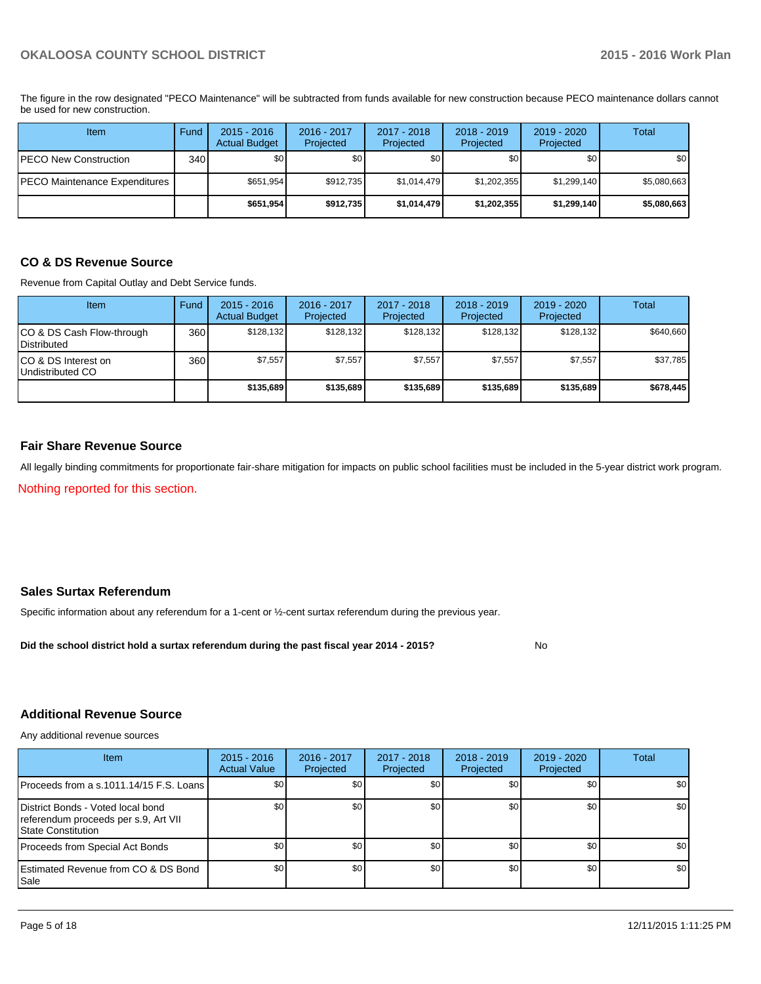The figure in the row designated "PECO Maintenance" will be subtracted from funds available for new construction because PECO maintenance dollars cannot be used for new construction.

| Item                            | Fund | $2015 - 2016$<br><b>Actual Budget</b> | 2016 - 2017<br>Projected | 2017 - 2018<br>Projected | $2018 - 2019$<br>Projected | $2019 - 2020$<br>Projected | Total       |
|---------------------------------|------|---------------------------------------|--------------------------|--------------------------|----------------------------|----------------------------|-------------|
| PECO New Construction           | 340  | \$0                                   | \$0                      | \$0                      | \$0                        | \$0                        | \$0         |
| PECO Maintenance Expenditures ' |      | \$651,954                             | \$912,735                | \$1,014,479              | \$1,202,355                | \$1,299,140                | \$5,080,663 |
|                                 |      | \$651,954                             | \$912,735                | \$1,014,479              | \$1,202,355                | \$1,299,140                | \$5,080,663 |

## **CO & DS Revenue Source**

Revenue from Capital Outlay and Debt Service funds.

| <b>Item</b>                                        | Fund | $2015 - 2016$<br><b>Actual Budget</b> | $2016 - 2017$<br>Projected | $2017 - 2018$<br>Projected | $2018 - 2019$<br>Projected | $2019 - 2020$<br>Projected | Total     |
|----------------------------------------------------|------|---------------------------------------|----------------------------|----------------------------|----------------------------|----------------------------|-----------|
| ICO & DS Cash Flow-through<br><b>I</b> Distributed | 360  | \$128.132                             | \$128,132                  | \$128.132                  | \$128.132                  | \$128.132                  | \$640,660 |
| ICO & DS Interest on<br>Undistributed CO           | 360  | \$7.557                               | \$7,557                    | \$7,557                    | \$7.557                    | \$7,557                    | \$37,785  |
|                                                    |      | \$135,689                             | \$135,689                  | \$135,689                  | \$135,689                  | \$135,689                  | \$678,445 |

#### **Fair Share Revenue Source**

All legally binding commitments for proportionate fair-share mitigation for impacts on public school facilities must be included in the 5-year district work program.

Nothing reported for this section.

## **Sales Surtax Referendum**

Specific information about any referendum for a 1-cent or ½-cent surtax referendum during the previous year.

**Did the school district hold a surtax referendum during the past fiscal year 2014 - 2015?**

No

#### **Additional Revenue Source**

Any additional revenue sources

| Item                                                                                                    | $2015 - 2016$<br><b>Actual Value</b> | 2016 - 2017<br>Projected | 2017 - 2018<br>Projected | $2018 - 2019$<br>Projected | $2019 - 2020$<br>Projected | Total            |
|---------------------------------------------------------------------------------------------------------|--------------------------------------|--------------------------|--------------------------|----------------------------|----------------------------|------------------|
| IProceeds from a s.1011.14/15 F.S. Loans I                                                              | \$0 <sub>0</sub>                     | \$0 <sub>1</sub>         | \$0                      | \$0                        | \$0                        | \$0 <sub>1</sub> |
| District Bonds - Voted local bond<br>referendum proceeds per s.9, Art VII<br><b>IState Constitution</b> | \$0                                  | \$0                      | \$0                      | \$0                        | \$0                        | \$0              |
| Proceeds from Special Act Bonds                                                                         | \$0 <sub>0</sub>                     | \$0                      | \$0                      | \$0                        | \$0                        | \$0              |
| <b>Estimated Revenue from CO &amp; DS Bond</b><br>l Sale                                                | \$0 <sub>1</sub>                     | \$0                      | \$0                      | \$0                        | \$0                        | \$0              |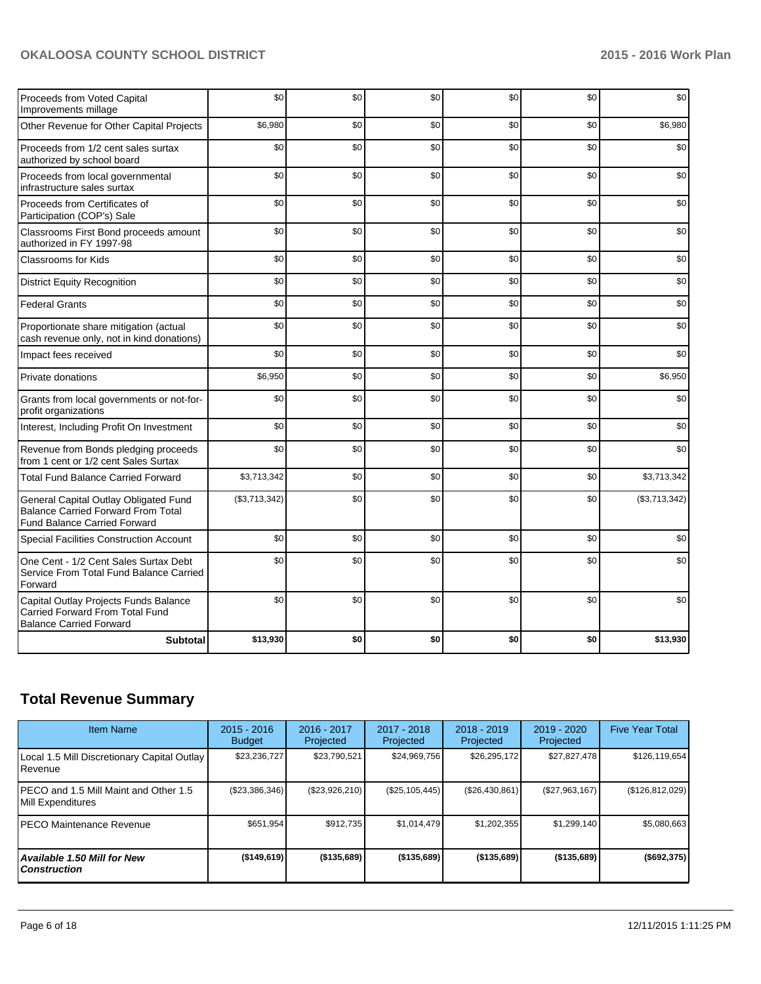| Proceeds from Voted Capital<br>Improvements millage                                                                       | \$0           | \$0 | \$0 | \$0 | \$0 | \$0           |
|---------------------------------------------------------------------------------------------------------------------------|---------------|-----|-----|-----|-----|---------------|
| Other Revenue for Other Capital Projects                                                                                  | \$6,980       | \$0 | \$0 | \$0 | \$0 | \$6,980       |
| Proceeds from 1/2 cent sales surtax<br>authorized by school board                                                         | \$0           | \$0 | \$0 | \$0 | \$0 | \$0           |
| Proceeds from local governmental<br>infrastructure sales surtax                                                           | \$0           | \$0 | \$0 | \$0 | \$0 | \$0           |
| Proceeds from Certificates of<br>Participation (COP's) Sale                                                               | \$0           | \$0 | \$0 | \$0 | \$0 | \$0           |
| Classrooms First Bond proceeds amount<br>authorized in FY 1997-98                                                         | \$0           | \$0 | \$0 | \$0 | \$0 | \$0           |
| <b>Classrooms for Kids</b>                                                                                                | \$0           | \$0 | \$0 | \$0 | \$0 | \$0           |
| <b>District Equity Recognition</b>                                                                                        | \$0           | \$0 | \$0 | \$0 | \$0 | \$0           |
| <b>Federal Grants</b>                                                                                                     | \$0           | \$0 | \$0 | \$0 | \$0 | \$0           |
| Proportionate share mitigation (actual<br>cash revenue only, not in kind donations)                                       | \$0           | \$0 | \$0 | \$0 | \$0 | \$0           |
| Impact fees received                                                                                                      | \$0           | \$0 | \$0 | \$0 | \$0 | \$0           |
| Private donations                                                                                                         | \$6,950       | \$0 | \$0 | \$0 | \$0 | \$6,950       |
| Grants from local governments or not-for-<br>profit organizations                                                         | \$0           | \$0 | \$0 | \$0 | \$0 | \$0           |
| Interest, Including Profit On Investment                                                                                  | \$0           | \$0 | \$0 | \$0 | \$0 | \$0           |
| Revenue from Bonds pledging proceeds<br>from 1 cent or 1/2 cent Sales Surtax                                              | \$0           | \$0 | \$0 | \$0 | \$0 | \$0           |
| <b>Total Fund Balance Carried Forward</b>                                                                                 | \$3,713,342   | \$0 | \$0 | \$0 | \$0 | \$3,713,342   |
| General Capital Outlay Obligated Fund<br><b>Balance Carried Forward From Total</b><br><b>Fund Balance Carried Forward</b> | (\$3,713,342) | \$0 | \$0 | \$0 | \$0 | (\$3,713,342) |
| Special Facilities Construction Account                                                                                   | \$0           | \$0 | \$0 | \$0 | \$0 | \$0           |
| One Cent - 1/2 Cent Sales Surtax Debt<br>Service From Total Fund Balance Carried<br>Forward                               | \$0           | \$0 | \$0 | \$0 | \$0 | \$0           |
| Capital Outlay Projects Funds Balance<br>Carried Forward From Total Fund<br><b>Balance Carried Forward</b>                | \$0           | \$0 | \$0 | \$0 | \$0 | \$0           |
| <b>Subtotal</b>                                                                                                           | \$13,930      | \$0 | \$0 | \$0 | \$0 | \$13,930      |

# **Total Revenue Summary**

| <b>Item Name</b>                                           | $2015 - 2016$<br><b>Budget</b> | 2016 - 2017<br>Projected | $2017 - 2018$<br>Projected | $2018 - 2019$<br>Projected | 2019 - 2020<br>Projected | <b>Five Year Total</b> |
|------------------------------------------------------------|--------------------------------|--------------------------|----------------------------|----------------------------|--------------------------|------------------------|
| Local 1.5 Mill Discretionary Capital Outlay<br>Revenue     | \$23,236,727                   | \$23,790,521             | \$24,969,756               | \$26,295,172               | \$27,827,478             | \$126,119,654          |
| PECO and 1.5 Mill Maint and Other 1.5<br>Mill Expenditures | (\$23,386,346)                 | (\$23,926,210)           | (\$25,105,445)             | (\$26,430,861)             | (\$27,963,167)           | (\$126, 812, 029)      |
| PECO Maintenance Revenue                                   | \$651,954                      | \$912,735                | \$1,014,479                | \$1,202,355                | \$1,299,140              | \$5,080,663            |
| Available 1.50 Mill for New<br><b>Construction</b>         | (\$149,619)                    | ( \$135,689)             | ( \$135,689)               | (\$135,689)                | (\$135,689)              | (\$692,375)            |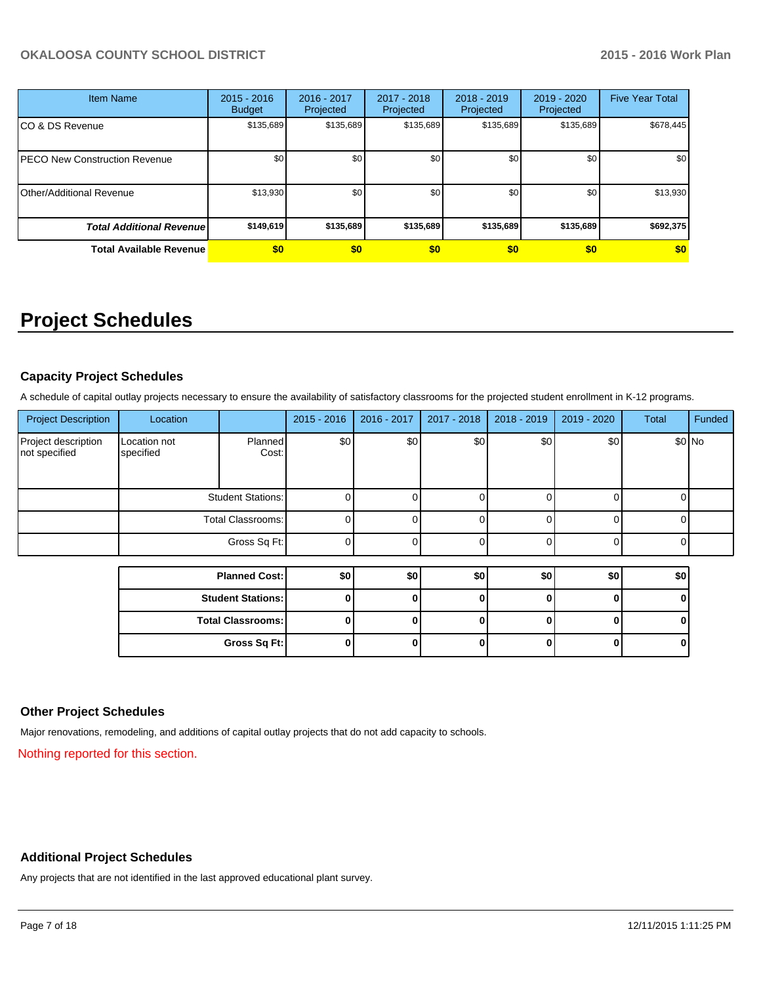| <b>Item Name</b>                     | $2015 - 2016$<br><b>Budget</b> | 2016 - 2017<br>Projected | 2017 - 2018<br>Projected | $2018 - 2019$<br>Projected | 2019 - 2020<br>Projected | <b>Five Year Total</b> |
|--------------------------------------|--------------------------------|--------------------------|--------------------------|----------------------------|--------------------------|------------------------|
| CO & DS Revenue                      | \$135,689                      | \$135,689                | \$135,689                | \$135,689                  | \$135,689                | \$678,445              |
| <b>PECO New Construction Revenue</b> | \$0                            | \$0                      | \$0                      | \$0                        | \$0                      | \$0                    |
| Other/Additional Revenue             | \$13,930                       | \$0                      | \$0                      | \$0                        | \$0                      | \$13,930               |
| <b>Total Additional Revenuel</b>     | \$149,619                      | \$135,689                | \$135,689                | \$135,689                  | \$135,689                | \$692,375              |
| <b>Total Available Revenue</b>       | \$0                            | \$0                      | \$0                      | \$0                        | \$0                      | \$0                    |

# **Project Schedules**

## **Capacity Project Schedules**

A schedule of capital outlay projects necessary to ensure the availability of satisfactory classrooms for the projected student enrollment in K-12 programs.

| <b>Project Description</b>           | Location                  |                          | $2015 - 2016$ | 2016 - 2017   | 2017 - 2018 | 2018 - 2019 | 2019 - 2020 | Total | Funded  |
|--------------------------------------|---------------------------|--------------------------|---------------|---------------|-------------|-------------|-------------|-------|---------|
| Project description<br>not specified | Location not<br>specified | <b>Planned</b><br>Cost:  | \$0           | $\frac{1}{2}$ | \$0         | \$0         | \$0         |       | $$0$ No |
|                                      |                           | <b>Student Stations:</b> |               |               |             |             |             |       |         |
|                                      |                           | <b>Total Classrooms:</b> | 0             |               | ſ           |             |             |       |         |
|                                      |                           | Gross Sq Ft:             | $\Omega$      |               |             |             |             |       |         |
|                                      |                           |                          |               |               |             |             |             |       |         |
|                                      |                           | <b>Planned Cost:</b>     | \$0           | \$0           | \$0         | \$0         | \$0         | \$0   |         |
|                                      |                           | <b>Student Stations:</b> | O             |               |             |             |             |       |         |
|                                      |                           | <b>Total Classrooms:</b> | 0             |               |             |             |             |       |         |
|                                      |                           | Gross Sq Ft:             | 0             |               |             |             |             |       |         |

### **Other Project Schedules**

Major renovations, remodeling, and additions of capital outlay projects that do not add capacity to schools.

Nothing reported for this section.

### **Additional Project Schedules**

Any projects that are not identified in the last approved educational plant survey.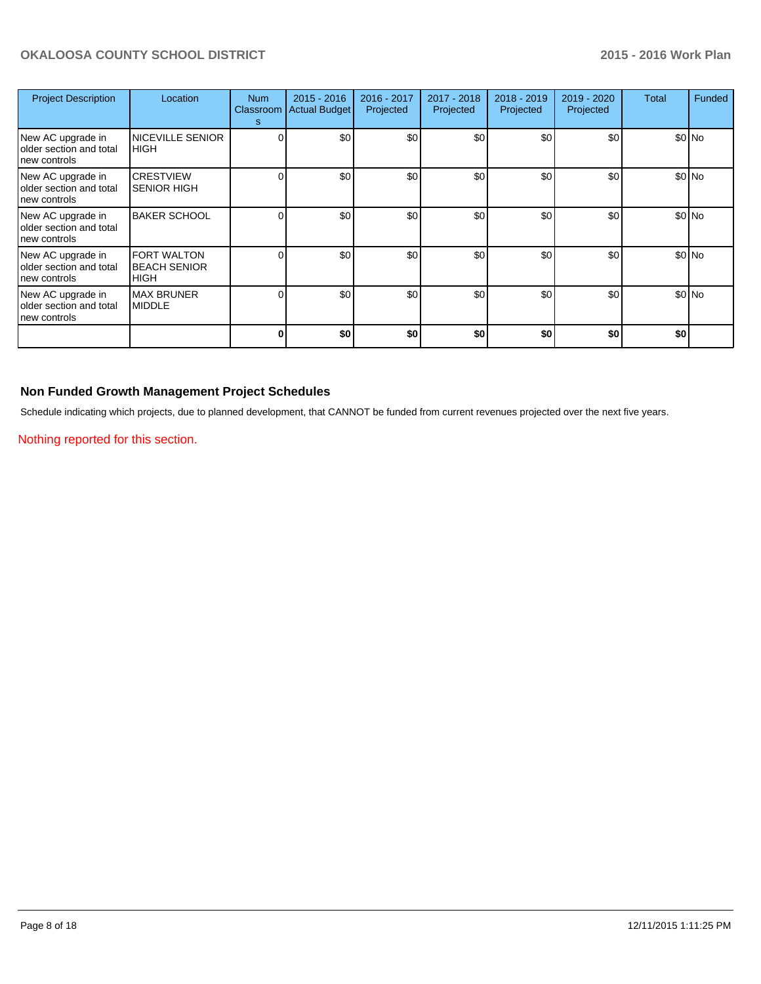| <b>Project Description</b>                                   | Location                                                 | <b>Num</b><br>s | $2015 - 2016$<br>Classroom   Actual Budget | 2016 - 2017<br>Projected | $2017 - 2018$<br>Projected | $2018 - 2019$<br>Projected | $2019 - 2020$<br>Projected | Total | Funded  |
|--------------------------------------------------------------|----------------------------------------------------------|-----------------|--------------------------------------------|--------------------------|----------------------------|----------------------------|----------------------------|-------|---------|
| New AC upgrade in<br>older section and total<br>new controls | <b>NICEVILLE SENIOR</b><br><b>HIGH</b>                   |                 | \$0                                        | \$0                      | \$0                        | \$0                        | \$0                        |       | $$0$ No |
| New AC upgrade in<br>older section and total<br>new controls | <b>CRESTVIEW</b><br><b>SENIOR HIGH</b>                   |                 | \$0                                        | \$0                      | \$0                        | \$0                        | \$0                        |       | \$0 No  |
| New AC upgrade in<br>older section and total<br>new controls | <b>BAKER SCHOOL</b>                                      |                 | \$0                                        | \$0                      | \$0                        | \$0                        | \$0                        |       | \$0 No  |
| New AC upgrade in<br>older section and total<br>new controls | <b>FORT WALTON</b><br><b>BEACH SENIOR</b><br><b>HIGH</b> |                 | \$0                                        | \$0                      | \$0                        | \$0                        | \$0                        |       | \$0 No  |
| New AC upgrade in<br>older section and total<br>new controls | <b>MAX BRUNER</b><br><b>MIDDLE</b>                       |                 | \$0                                        | \$0                      | \$0                        | \$0                        | \$0                        |       | \$0 No  |
|                                                              |                                                          |                 | \$0                                        | \$0                      | \$0                        | \$0                        | \$0                        | \$0   |         |

## **Non Funded Growth Management Project Schedules**

Schedule indicating which projects, due to planned development, that CANNOT be funded from current revenues projected over the next five years.

Nothing reported for this section.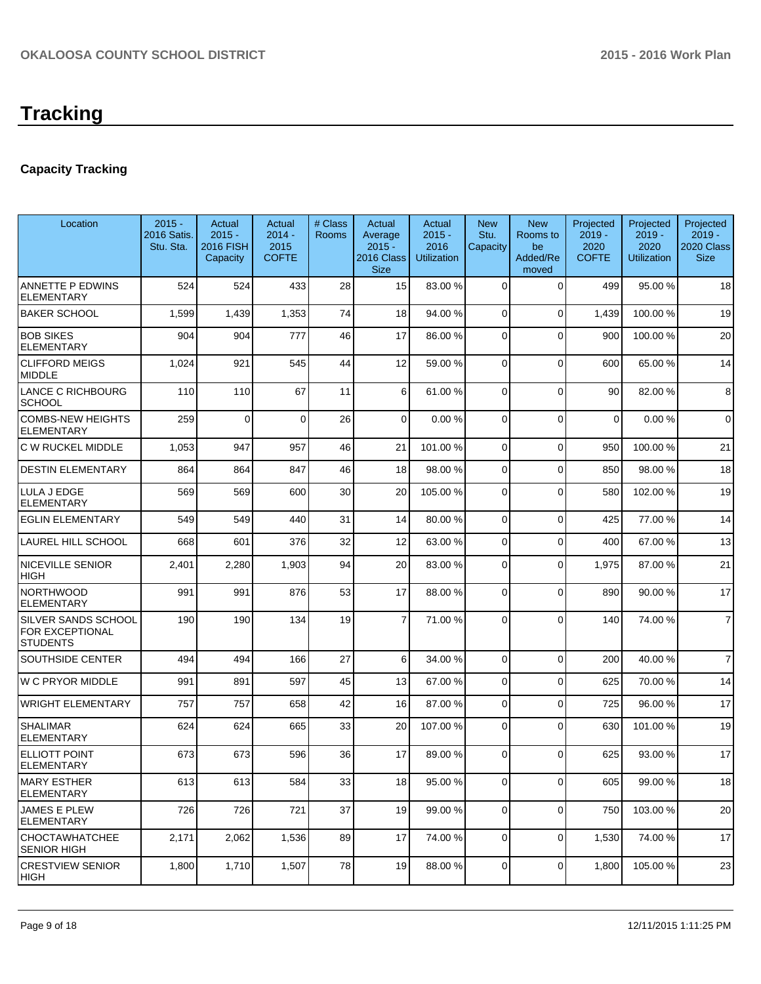# **Tracking**

# **Capacity Tracking**

| Location                                                  | $2015 -$<br>2016 Satis.<br>Stu. Sta. | Actual<br>$2015 -$<br><b>2016 FISH</b><br>Capacity | Actual<br>$2014 -$<br>2015<br><b>COFTE</b> | # Class<br><b>Rooms</b> | Actual<br>Average<br>$2015 -$<br>2016 Class<br><b>Size</b> | Actual<br>$2015 -$<br>2016<br><b>Utilization</b> | <b>New</b><br>Stu.<br>Capacity | <b>New</b><br>Rooms to<br>be<br>Added/Re<br>moved | Projected<br>$2019 -$<br>2020<br><b>COFTE</b> | Projected<br>$2019 -$<br>2020<br><b>Utilization</b> | Projected<br>$2019 -$<br>2020 Class<br><b>Size</b> |
|-----------------------------------------------------------|--------------------------------------|----------------------------------------------------|--------------------------------------------|-------------------------|------------------------------------------------------------|--------------------------------------------------|--------------------------------|---------------------------------------------------|-----------------------------------------------|-----------------------------------------------------|----------------------------------------------------|
| ANNETTE P EDWINS<br><b>ELEMENTARY</b>                     | 524                                  | 524                                                | 433                                        | 28                      | 15                                                         | 83.00 %                                          | 0                              | $\Omega$                                          | 499                                           | 95.00 %                                             | 18                                                 |
| <b>BAKER SCHOOL</b>                                       | 1,599                                | 1,439                                              | 1,353                                      | 74                      | 18                                                         | 94.00 %                                          | 0                              | $\Omega$                                          | 1,439                                         | 100.00%                                             | 19                                                 |
| <b>BOB SIKES</b><br><b>ELEMENTARY</b>                     | 904                                  | 904                                                | 777                                        | 46                      | 17                                                         | 86.00 %                                          | 0                              | $\Omega$                                          | 900                                           | 100.00%                                             | 20                                                 |
| <b>CLIFFORD MEIGS</b><br>MIDDLE                           | 1,024                                | 921                                                | 545                                        | 44                      | 12                                                         | 59.00 %                                          | 0                              | $\Omega$                                          | 600                                           | 65.00 %                                             | 14                                                 |
| LANCE C RICHBOURG<br><b>SCHOOL</b>                        | 110                                  | 110                                                | 67                                         | 11                      | 6 <sup>1</sup>                                             | 61.00 %                                          | 0                              | $\Omega$                                          | 90                                            | 82.00%                                              | 8                                                  |
| COMBS-NEW HEIGHTS<br><b>ELEMENTARY</b>                    | 259                                  | $\Omega$                                           | $\Omega$                                   | 26                      | $\Omega$                                                   | 0.00%                                            | $\Omega$                       | $\Omega$                                          | $\mathbf 0$                                   | 0.00%                                               | $\mathbf 0$                                        |
| C W RUCKEL MIDDLE                                         | 1,053                                | 947                                                | 957                                        | 46                      | 21                                                         | 101.00%                                          | $\Omega$                       | $\Omega$                                          | 950                                           | 100.00%                                             | 21                                                 |
| <b>DESTIN ELEMENTARY</b>                                  | 864                                  | 864                                                | 847                                        | 46                      | 18                                                         | 98.00 %                                          | 0                              | $\Omega$                                          | 850                                           | 98.00 %                                             | 18                                                 |
| LULA J EDGE<br><b>ELEMENTARY</b>                          | 569                                  | 569                                                | 600                                        | 30                      | 20                                                         | 105.00 %                                         | 0                              | $\Omega$                                          | 580                                           | 102.00%                                             | 19                                                 |
| <b>EGLIN ELEMENTARY</b>                                   | 549                                  | 549                                                | 440                                        | 31                      | 14                                                         | 80.00 %                                          | 0                              | $\Omega$                                          | 425                                           | 77.00 %                                             | 14                                                 |
| LAUREL HILL SCHOOL                                        | 668                                  | 601                                                | 376                                        | 32                      | 12                                                         | 63.00 %                                          | 0                              | $\Omega$                                          | 400                                           | 67.00 %                                             | 13                                                 |
| <b>NICEVILLE SENIOR</b><br>HIGH                           | 2,401                                | 2,280                                              | 1,903                                      | 94                      | 20                                                         | 83.00 %                                          | 0                              | $\Omega$                                          | 1,975                                         | 87.00 %                                             | 21                                                 |
| <b>NORTHWOOD</b><br><b>ELEMENTARY</b>                     | 991                                  | 991                                                | 876                                        | 53                      | 17                                                         | 88.00 %                                          | $\Omega$                       | $\Omega$                                          | 890                                           | 90.00 %                                             | 17                                                 |
| SILVER SANDS SCHOOL<br>FOR EXCEPTIONAL<br><b>STUDENTS</b> | 190                                  | 190                                                | 134                                        | 19                      | $\overline{7}$                                             | 71.00 %                                          | $\Omega$                       | $\Omega$                                          | 140                                           | 74.00%                                              | $\overline{7}$                                     |
| <b>SOUTHSIDE CENTER</b>                                   | 494                                  | 494                                                | 166                                        | 27                      | 6                                                          | 34.00 %                                          | $\Omega$                       | $\Omega$                                          | 200                                           | 40.00%                                              | $\overline{7}$                                     |
| W C PRYOR MIDDLE                                          | 991                                  | 891                                                | 597                                        | 45                      | 13                                                         | 67.00 %                                          | 0                              | $\Omega$                                          | 625                                           | 70.00%                                              | 14                                                 |
| <b>WRIGHT ELEMENTARY</b>                                  | 757                                  | 757                                                | 658                                        | 42                      | 16                                                         | 87.00 %                                          | 0                              | $\Omega$                                          | 725                                           | 96.00 %                                             | 17                                                 |
| <b>SHALIMAR</b><br><b>ELEMENTARY</b>                      | 624                                  | 624                                                | 665                                        | 33                      | 20                                                         | 107.00 %                                         | $\Omega$                       | $\Omega$                                          | 630                                           | 101.00%                                             | 19                                                 |
| <b>ELLIOTT POINT</b><br><b>ELEMENTARY</b>                 | 673                                  | 673                                                | 596                                        | 36                      | 17                                                         | 89.00 %                                          | $\Omega$                       | $\Omega$                                          | 625                                           | 93.00 %                                             | 17                                                 |
| <b>MARY ESTHER</b><br><b>ELEMENTARY</b>                   | 613                                  | 613                                                | 584                                        | 33                      | 18                                                         | 95.00 %                                          | $\mathbf 0$                    | $\Omega$                                          | 605                                           | 99.00 %                                             | 18                                                 |
| JAMES E PLEW<br>ELEMENTARY                                | 726                                  | 726                                                | 721                                        | 37                      | 19                                                         | 99.00 %                                          | $\mathbf 0$                    | $\mathbf 0$                                       | 750                                           | 103.00%                                             | 20                                                 |
| CHOCTAWHATCHEE<br><b>SENIOR HIGH</b>                      | 2,171                                | 2,062                                              | 1,536                                      | 89                      | 17                                                         | 74.00 %                                          | $\mathbf 0$                    | $\Omega$                                          | 1,530                                         | 74.00%                                              | 17                                                 |
| <b>CRESTVIEW SENIOR</b><br><b>HIGH</b>                    | 1,800                                | 1,710                                              | 1,507                                      | 78                      | 19                                                         | 88.00 %                                          | $\overline{0}$                 | $\overline{0}$                                    | 1,800                                         | 105.00 %                                            | 23                                                 |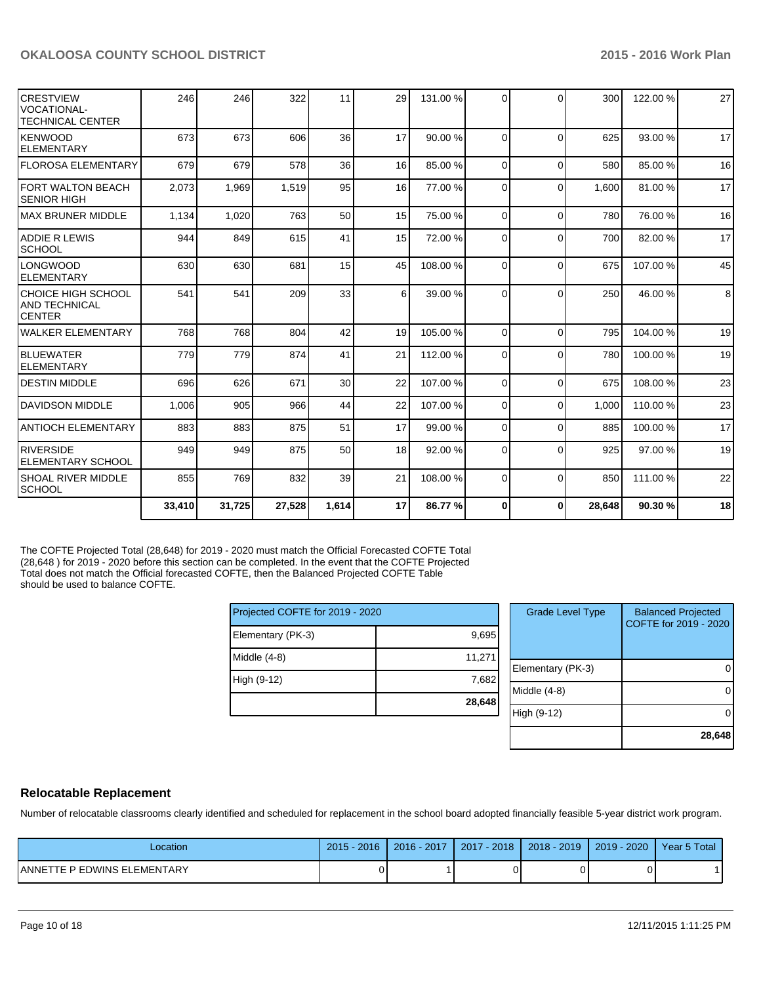| ICRESTVIEW<br>IVOCATIONAL-<br>ITECHNICAL CENTER | 246    | 246    | 322    | 11              | 29 | 131.00 % | $\Omega$ | $\Omega$ | 300    | 122.00% | 27 |
|-------------------------------------------------|--------|--------|--------|-----------------|----|----------|----------|----------|--------|---------|----|
| <b>I</b> KENWOOD<br><b>IELEMENTARY</b>          | 673    | 673    | 606    | 36              | 17 | 90.00 %  | $\Omega$ | $\Omega$ | 625    | 93.00 % | 17 |
| lFLOROSA ELEMENTARY                             | 679    | 679    | 578    | 36              | 16 | 85.00 %  | $\Omega$ | $\Omega$ | 580    | 85.00 % | 16 |
| <b>FORT WALTON BEACH</b><br>ISENIOR HIGH        | 2,073  | 1,969  | 1,519  | 95              | 16 | 77.00 %  | $\Omega$ | $\Omega$ | 1.600  | 81.00%  | 17 |
| IMAX BRUNER MIDDLE                              | 1,134  | 1,020  | 763    | 50              | 15 | 75.00 %  | $\Omega$ | $\Omega$ | 780    | 76.00 % | 16 |
| IADDIE R LEWIS<br>SCHOOL                        | 944    | 849    | 615    | 41              | 15 | 72.00 %  | $\Omega$ | $\Omega$ | 700    | 82.00 % | 17 |
| <b>LONGWOOD</b><br><b>IELEMENTARY</b>           | 630    | 630    | 681    | 15              | 45 | 108.00%  | $\Omega$ | $\Omega$ | 675    | 107.00% | 45 |
| CHOICE HIGH SCHOOL<br>IAND TECHNICAL<br>ICENTER | 541    | 541    | 209    | 33              | 6  | 39.00 %  | $\Omega$ | $\Omega$ | 250    | 46.00 % | 8  |
| lwalker elementary                              | 768    | 768    | 804    | 42              | 19 | 105.00 % | $\Omega$ | $\Omega$ | 795    | 104.00% | 19 |
| <b>BLUEWATER</b><br><b>IELEMENTARY</b>          | 779    | 779    | 874    | 41              | 21 | 112.00 % | $\Omega$ | $\Omega$ | 780    | 100.00% | 19 |
| <b>IDESTIN MIDDLE</b>                           | 696    | 626    | 671    | 30 <sup>1</sup> | 22 | 107.00 % | $\Omega$ | $\Omega$ | 675    | 108.00% | 23 |
| <b>DAVIDSON MIDDLE</b>                          | 1,006  | 905    | 966    | 44              | 22 | 107.00 % | $\Omega$ | $\Omega$ | 1.000  | 110.00% | 23 |
| IANTIOCH ELEMENTARY                             | 883    | 883    | 875    | 51              | 17 | 99.00 %  | $\Omega$ | $\Omega$ | 885    | 100.00% | 17 |
| <b>RIVERSIDE</b><br>IELEMENTARY SCHOOL          | 949    | 949    | 875    | 50              | 18 | 92.00 %  | $\Omega$ | $\Omega$ | 925    | 97.00 % | 19 |
| ISHOAL RIVER MIDDLE<br><b>SCHOOL</b>            | 855    | 769    | 832    | 39              | 21 | 108.00 % | $\Omega$ | $\Omega$ | 850    | 111.00% | 22 |
|                                                 | 33,410 | 31,725 | 27,528 | 1,614           | 17 | 86.77 %  | $\bf{0}$ | 0        | 28,648 | 90.30%  | 18 |

The COFTE Projected Total (28,648) for 2019 - 2020 must match the Official Forecasted COFTE Total (28,648 ) for 2019 - 2020 before this section can be completed. In the event that the COFTE Projected Total does not match the Official forecasted COFTE, then the Balanced Projected COFTE Table should be used to balance COFTE.

| Projected COFTE for 2019 - 2020 |        |  |  |  |  |
|---------------------------------|--------|--|--|--|--|
| Elementary (PK-3)               | 9,695  |  |  |  |  |
| Middle $(4-8)$                  | 11,271 |  |  |  |  |
| High (9-12)                     | 7,682  |  |  |  |  |
|                                 | 28,648 |  |  |  |  |

| <b>Grade Level Type</b> | <b>Balanced Projected</b><br>COFTE for 2019 - 2020 |
|-------------------------|----------------------------------------------------|
| Elementary (PK-3)       |                                                    |
| Middle (4-8)            |                                                    |
| High (9-12)             |                                                    |
|                         | 28,648                                             |

## **Relocatable Replacement**

Number of relocatable classrooms clearly identified and scheduled for replacement in the school board adopted financially feasible 5-year district work program.

| _ocation                           | 2016<br>2015 | 2016 - 2017 | 2018<br>2017 | $2018 - 2019$ | 2020<br>2019 | Year 5 Total |
|------------------------------------|--------------|-------------|--------------|---------------|--------------|--------------|
| <b>ANNETTE P EDWINS ELEMENTARY</b> |              |             |              |               |              |              |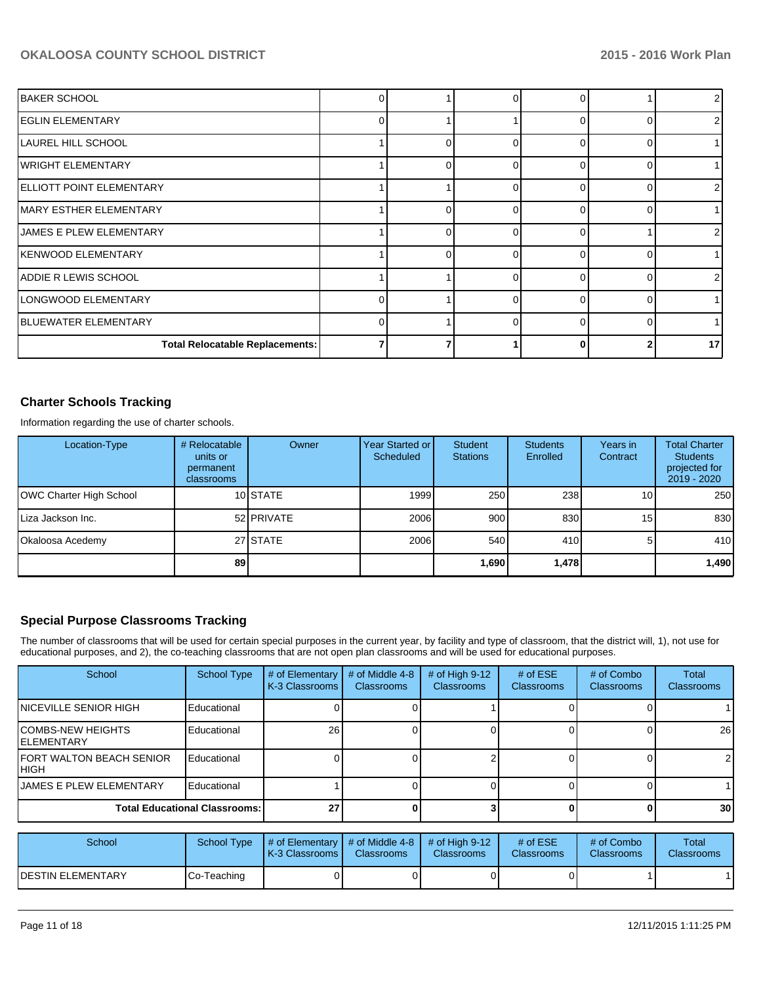| IBAKER SCHOOL                          |   |   |   |        |                 |
|----------------------------------------|---|---|---|--------|-----------------|
| <b>EGLIN ELEMENTARY</b>                | U |   |   |        | 2               |
| <b>LAUREL HILL SCHOOL</b>              |   |   |   |        |                 |
| WRIGHT ELEMENTARY                      |   |   | U |        |                 |
| ELLIOTT POINT ELEMENTARY               |   |   | ∩ |        | 2               |
| MARY ESTHER ELEMENTARY                 |   |   |   |        |                 |
| <b>JAMES E PLEW ELEMENTARY</b>         |   |   |   |        | 21              |
| lKENWOOD ELEMENTARY                    |   | ∩ |   |        |                 |
| ADDIE R LEWIS SCHOOL                   |   |   |   |        | 2               |
| LONGWOOD ELEMENTARY                    |   |   |   | ∩      |                 |
| <b>BLUEWATER ELEMENTARY</b>            |   |   |   | $\cap$ |                 |
| <b>Total Relocatable Replacements:</b> |   |   |   |        | 17 <sup>1</sup> |

## **Charter Schools Tracking**

Information regarding the use of charter schools.

| Location-Type           | # Relocatable<br>units or<br>permanent<br>classrooms | Owner      | Year Started or<br><b>Scheduled</b> | Student<br><b>Stations</b> | <b>Students</b><br>Enrolled | Years in<br>Contract | <b>Total Charter</b><br><b>Students</b><br>projected for<br>$2019 - 2020$ |
|-------------------------|------------------------------------------------------|------------|-------------------------------------|----------------------------|-----------------------------|----------------------|---------------------------------------------------------------------------|
| OWC Charter High School |                                                      | 10 STATE   | 1999                                | 250                        | 238                         | 10                   | 250                                                                       |
| Liza Jackson Inc.       |                                                      | 52 PRIVATE | 2006                                | 900                        | 830                         | 15                   | 830                                                                       |
| Okaloosa Acedemy        |                                                      | 27 STATE   | 2006                                | 540                        | 410                         |                      | 410                                                                       |
|                         | 89                                                   |            |                                     | 1,690                      | 1,478                       |                      | 1,490                                                                     |

## **Special Purpose Classrooms Tracking**

The number of classrooms that will be used for certain special purposes in the current year, by facility and type of classroom, that the district will, 1), not use for educational purposes, and 2), the co-teaching classrooms that are not open plan classrooms and will be used for educational purposes.

| School                                    | <b>School Type</b>                   | # of Elementary<br>K-3 Classrooms | # of Middle 4-8<br>Classrooms | # of High $9-12$<br>Classrooms | # of $ESE$<br><b>Classrooms</b> | # of Combo<br><b>Classrooms</b> | <b>Total</b><br>Classrooms |
|-------------------------------------------|--------------------------------------|-----------------------------------|-------------------------------|--------------------------------|---------------------------------|---------------------------------|----------------------------|
| <b>INICEVILLE SENIOR HIGH</b>             | Educational                          |                                   |                               |                                |                                 |                                 |                            |
| ICOMBS-NEW HEIGHTS<br><b>IELEMENTARY</b>  | Educational                          | <b>26</b>                         |                               |                                |                                 |                                 | 26                         |
| <b>IFORT WALTON BEACH SENIOR</b><br>IHIGH | Educational                          |                                   |                               |                                |                                 |                                 | $\overline{2}$             |
| <b>IJAMES E PLEW ELEMENTARY</b>           | Educational                          |                                   |                               |                                |                                 |                                 |                            |
|                                           | <b>Total Educational Classrooms:</b> | 27                                |                               |                                |                                 |                                 | 30 <sup>1</sup>            |

| School             |             | School Type $\parallel \#$ of Elementary $\parallel \#$ of Middle 4-8 $\parallel \#$ of High 9-12<br><b>K-3 Classrooms I</b> | <b>Classrooms</b> | <b>Classrooms</b> | # of $ESE$<br><b>Classrooms</b> | # of Combo<br><b>Classrooms</b> | Total<br><b>Classrooms</b> |
|--------------------|-------------|------------------------------------------------------------------------------------------------------------------------------|-------------------|-------------------|---------------------------------|---------------------------------|----------------------------|
| IDESTIN ELEMENTARY | Co-Teaching |                                                                                                                              |                   |                   |                                 |                                 |                            |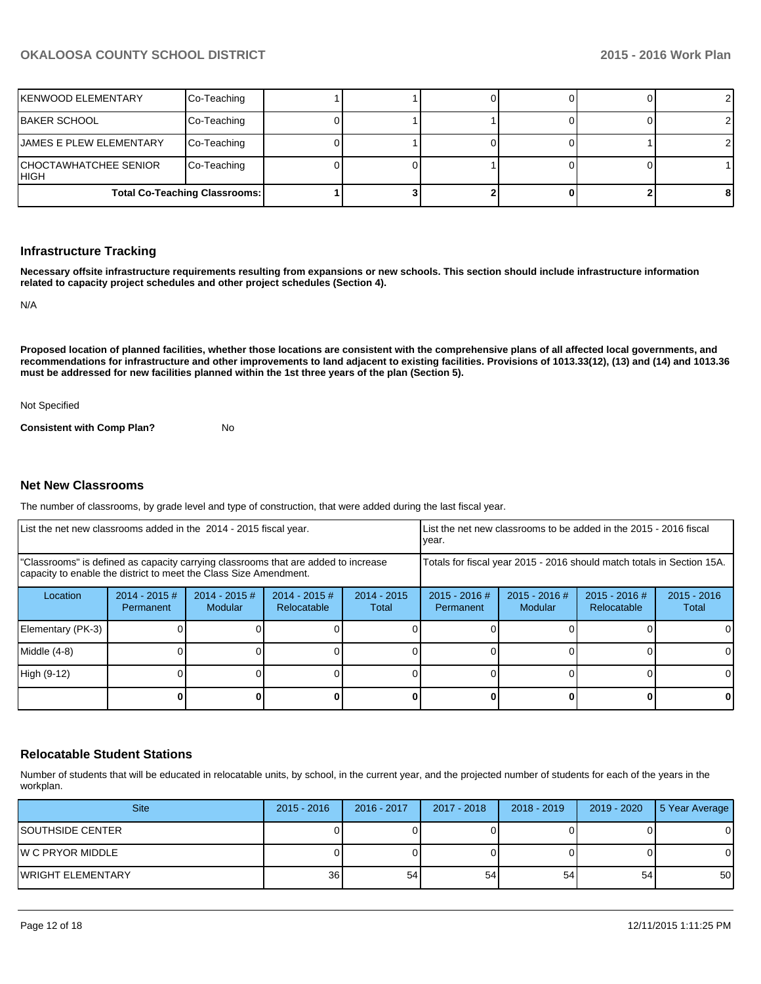| İKENWOOD ELEMENTARY                   | Co-Teaching                          |  |  |  |
|---------------------------------------|--------------------------------------|--|--|--|
| IBAKER SCHOOL                         | Co-Teaching                          |  |  |  |
| <b>IJAMES E PLEW ELEMENTARY</b>       | Co-Teaching                          |  |  |  |
| CHOCTAWHATCHEE SENIOR_<br><b>HIGH</b> | Co-Teaching                          |  |  |  |
|                                       | <b>Total Co-Teaching Classrooms:</b> |  |  |  |

### **Infrastructure Tracking**

**Necessary offsite infrastructure requirements resulting from expansions or new schools. This section should include infrastructure information related to capacity project schedules and other project schedules (Section 4).**

N/A

**Proposed location of planned facilities, whether those locations are consistent with the comprehensive plans of all affected local governments, and recommendations for infrastructure and other improvements to land adjacent to existing facilities. Provisions of 1013.33(12), (13) and (14) and 1013.36 must be addressed for new facilities planned within the 1st three years of the plan (Section 5).**

Not Specified

**Consistent with Comp Plan?** No

#### **Net New Classrooms**

The number of classrooms, by grade level and type of construction, that were added during the last fiscal year.

| List the net new classrooms added in the 2014 - 2015 fiscal year.                                                                                       |                               |                                   |                                |                        | year.                                                                  |                          | List the net new classrooms to be added in the 2015 - 2016 fiscal |                        |
|---------------------------------------------------------------------------------------------------------------------------------------------------------|-------------------------------|-----------------------------------|--------------------------------|------------------------|------------------------------------------------------------------------|--------------------------|-------------------------------------------------------------------|------------------------|
| "Classrooms" is defined as capacity carrying classrooms that are added to increase<br>capacity to enable the district to meet the Class Size Amendment. |                               |                                   |                                |                        | Totals for fiscal year 2015 - 2016 should match totals in Section 15A. |                          |                                                                   |                        |
| Location                                                                                                                                                | $2014 - 2015 \#$<br>Permanent | $2014 - 2015$ #<br><b>Modular</b> | $2014 - 2015$ #<br>Relocatable | $2014 - 2015$<br>Total | $2015 - 2016$ #<br>Permanent                                           | 2015 - 2016 #<br>Modular | 2015 - 2016 #<br>Relocatable                                      | $2015 - 2016$<br>Total |
| Elementary (PK-3)                                                                                                                                       |                               |                                   |                                |                        |                                                                        |                          |                                                                   | $\Omega$               |
| Middle (4-8)                                                                                                                                            |                               |                                   |                                |                        |                                                                        |                          |                                                                   | $\Omega$               |
| High (9-12)                                                                                                                                             |                               |                                   |                                |                        |                                                                        |                          |                                                                   | $\Omega$               |
|                                                                                                                                                         |                               |                                   |                                |                        |                                                                        |                          | 0                                                                 | $\mathbf{0}$           |

### **Relocatable Student Stations**

Number of students that will be educated in relocatable units, by school, in the current year, and the projected number of students for each of the years in the workplan.

| <b>Site</b>               | $2015 - 2016$ | 2016 - 2017 | 2017 - 2018 | $2018 - 2019$ | 2019 - 2020 | 5 Year Average |
|---------------------------|---------------|-------------|-------------|---------------|-------------|----------------|
| ISOUTHSIDE CENTER         |               |             |             |               |             | n              |
| IW C PRYOR MIDDLE         |               |             |             |               |             | n              |
| <b>IWRIGHT ELEMENTARY</b> | 36            | 54          | 54          | 54            | 54          | 50             |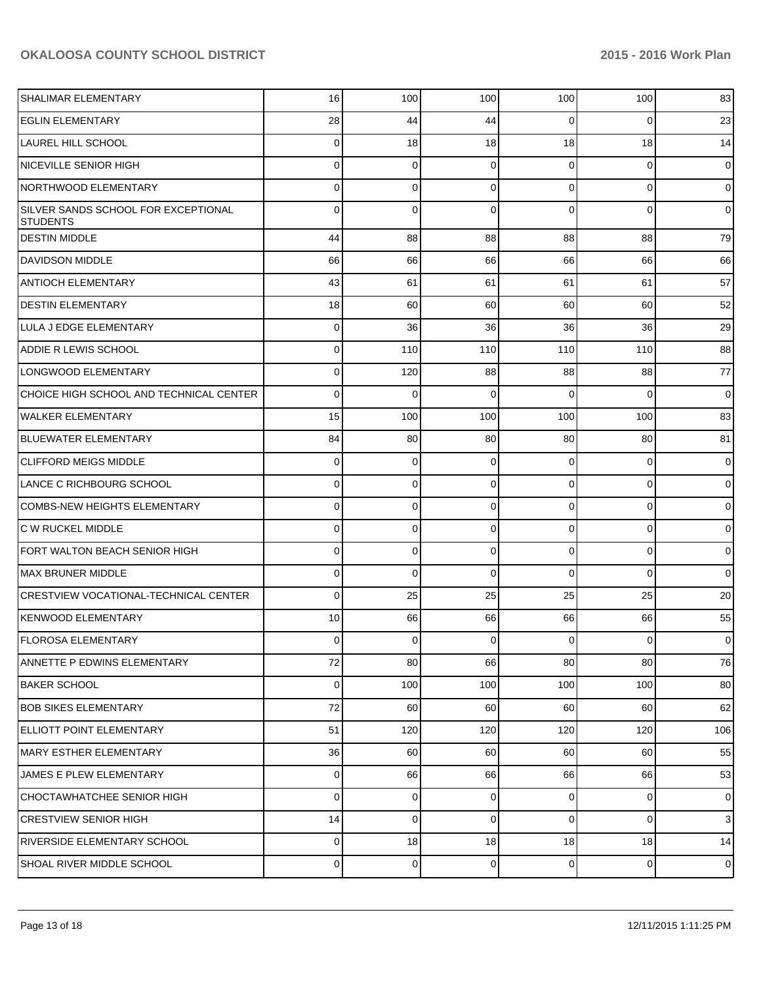| SHALIMAR ELEMENTARY                                    | 16          | 100            | 100         | 100            | 100            | 83             |
|--------------------------------------------------------|-------------|----------------|-------------|----------------|----------------|----------------|
| <b>EGLIN ELEMENTARY</b>                                | 28          | 44             | 44          | $\Omega$       | $\overline{0}$ | 23             |
| <b>LAUREL HILL SCHOOL</b>                              | 0           | 18             | 18          | 18             | 18             | 14             |
| <b>NICEVILLE SENIOR HIGH</b>                           | 0           | $\mathbf 0$    | 0           | $\Omega$       | $\overline{0}$ | $\overline{0}$ |
| NORTHWOOD ELEMENTARY                                   | 0           | 0              | $\Omega$    | $\Omega$       | $\overline{0}$ | $\overline{0}$ |
| SILVER SANDS SCHOOL FOR EXCEPTIONAL<br><b>STUDENTS</b> | $\Omega$    | $\Omega$       | $\Omega$    | $\Omega$       | $\Omega$       | $\overline{0}$ |
| <b>IDESTIN MIDDLE</b>                                  | 44          | 88             | 88          | 88             | 88             | 79             |
| DAVIDSON MIDDLE                                        | 66          | 66             | 66          | 66             | 66             | 66             |
| <b>ANTIOCH ELEMENTARY</b>                              | 43          | 61             | 61          | 61             | 61             | 57             |
| <b>DESTIN ELEMENTARY</b>                               | 18          | 60             | 60          | 60             | 60             | 52             |
| LULA J EDGE ELEMENTARY                                 | 0           | 36             | 36          | 36             | 36             | 29             |
| <b>ADDIE R LEWIS SCHOOL</b>                            | 0           | 110            | 110         | 110            | 110            | 88             |
| LONGWOOD ELEMENTARY                                    | 0           | 120            | 88          | 88             | 88             | 77             |
| CHOICE HIGH SCHOOL AND TECHNICAL CENTER                | 0           | $\mathbf{0}$   | $\Omega$    | $\Omega$       | $\Omega$       | $\overline{0}$ |
| WALKER ELEMENTARY                                      | 15          | 100            | 100         | 100            | 100            | 83             |
| BLUEWATER ELEMENTARY                                   | 84          | 80             | 80          | 80             | 80             | 81             |
| <b>CLIFFORD MEIGS MIDDLE</b>                           | $\mathbf 0$ | 0              | $\mathbf 0$ | 0              | $\overline{0}$ | $\mathbf 0$    |
| LANCE C RICHBOURG SCHOOL                               | 0           | 0              | 0           | 0              | $\overline{0}$ | $\overline{0}$ |
| <b>COMBS-NEW HEIGHTS ELEMENTARY</b>                    | 0           | 0              | $\mathbf 0$ | 0              | $\overline{0}$ | $\overline{0}$ |
| C W RUCKEL MIDDLE                                      | 0           | 0              | $\mathbf 0$ | 0              | $\overline{0}$ | $\overline{0}$ |
| FORT WALTON BEACH SENIOR HIGH                          | 0           | 0              | $\mathbf 0$ | 0              | $\overline{0}$ | $\overline{0}$ |
| MAX BRUNER MIDDLE                                      | 0           | 0              | $\Omega$    | $\Omega$       | $\Omega$       | $\overline{0}$ |
| <b>CRESTVIEW VOCATIONAL-TECHNICAL CENTER</b>           | $\mathbf 0$ | 25             | 25          | 25             | 25             | 20             |
| KENWOOD ELEMENTARY                                     | 10          | 66             | 66          | 66             | 66             | 55             |
| FLOROSA ELEMENTARY                                     | 0           | 0              | 0           | $\overline{0}$ | $\overline{0}$ | $\mathbf 0$    |
| ANNETTE P EDWINS ELEMENTARY                            | 72          | 80             | 66          | 80             | 80             | 76             |
| <b>BAKER SCHOOL</b>                                    | 0           | 100            | 100         | 100            | 100            | 80             |
| <b>BOB SIKES ELEMENTARY</b>                            | 72          | 60             | 60          | 60             | 60             | 62             |
| ELLIOTT POINT ELEMENTARY                               | 51          | 120            | 120         | 120            | 120            | 106            |
| MARY ESTHER ELEMENTARY                                 | 36          | 60             | 60          | 60             | 60             | 55             |
| JAMES E PLEW ELEMENTARY                                | 0           | 66             | 66          | 66             | 66             | 53             |
| CHOCTAWHATCHEE SENIOR HIGH                             | $\mathbf 0$ | $\overline{0}$ | 0           | $\overline{0}$ | $\overline{0}$ | $\overline{0}$ |
| <b>CRESTVIEW SENIOR HIGH</b>                           | 14          | $\Omega$       | $\mathbf 0$ | $\overline{0}$ | $\overline{0}$ | $\mathbf{3}$   |
| RIVERSIDE ELEMENTARY SCHOOL                            | 0           | 18             | 18          | 18             | 18             | 14             |
| SHOAL RIVER MIDDLE SCHOOL                              | 0           | $\overline{0}$ | 0           | $\overline{0}$ | $\overline{0}$ | $\mathbf 0$    |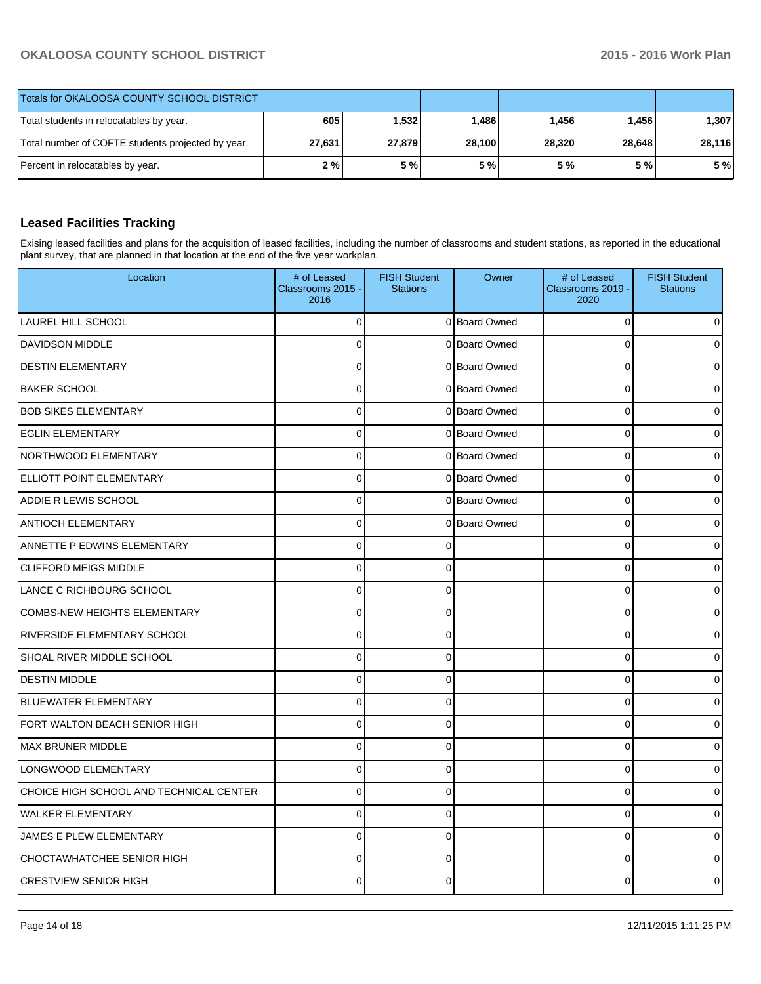| Totals for OKALOOSA COUNTY SCHOOL DISTRICT        |        |        |        |        |        |        |
|---------------------------------------------------|--------|--------|--------|--------|--------|--------|
| Total students in relocatables by year.           | 605    | 1.5321 | 1.486  | 1,456  | 1.456  | 1,307  |
| Total number of COFTE students projected by year. | 27,631 | 27,879 | 28,100 | 28,320 | 28.648 | 28,116 |
| Percent in relocatables by year.                  | 2%     | 5 %    | 5 %    | 5 % l  | 5 % l  | 5 %    |

# **Leased Facilities Tracking**

Exising leased facilities and plans for the acquisition of leased facilities, including the number of classrooms and student stations, as reported in the educational plant survey, that are planned in that location at the end of the five year workplan.

| Location                                | # of Leased<br>Classrooms 2015 -<br>2016 | <b>FISH Student</b><br><b>Stations</b> | Owner         | # of Leased<br>Classrooms 2019 -<br>2020 | <b>FISH Student</b><br><b>Stations</b> |
|-----------------------------------------|------------------------------------------|----------------------------------------|---------------|------------------------------------------|----------------------------------------|
| <b>LAUREL HILL SCHOOL</b>               | 0                                        |                                        | 0 Board Owned | 0                                        |                                        |
| <b>DAVIDSON MIDDLE</b>                  | $\Omega$                                 |                                        | 0 Board Owned | $\Omega$                                 |                                        |
| <b>DESTIN ELEMENTARY</b>                | 0                                        |                                        | 0 Board Owned | $\mathbf 0$                              |                                        |
| <b>BAKER SCHOOL</b>                     | 0                                        |                                        | 0 Board Owned | $\mathbf 0$                              |                                        |
| <b>BOB SIKES ELEMENTARY</b>             | $\overline{0}$                           |                                        | 0 Board Owned | $\Omega$                                 |                                        |
| <b>EGLIN ELEMENTARY</b>                 | 0                                        |                                        | 0 Board Owned | $\mathbf 0$                              |                                        |
| NORTHWOOD ELEMENTARY                    | 0                                        |                                        | 0 Board Owned | $\mathbf 0$                              |                                        |
| ELLIOTT POINT ELEMENTARY                | $\overline{0}$                           |                                        | 0 Board Owned | $\Omega$                                 |                                        |
| ADDIE R LEWIS SCHOOL                    | 0                                        |                                        | 0 Board Owned | $\mathbf 0$                              |                                        |
| <b>ANTIOCH ELEMENTARY</b>               | 0                                        |                                        | 0 Board Owned | 0                                        |                                        |
| ANNETTE P EDWINS ELEMENTARY             | $\Omega$                                 | $\Omega$                               |               | $\Omega$                                 |                                        |
| <b>CLIFFORD MEIGS MIDDLE</b>            | 0                                        | 0                                      |               | $\mathbf 0$                              |                                        |
| LANCE C RICHBOURG SCHOOL                | 0                                        | 0                                      |               | $\mathbf 0$                              |                                        |
| <b>COMBS-NEW HEIGHTS ELEMENTARY</b>     | $\Omega$                                 | $\Omega$                               |               | $\Omega$                                 |                                        |
| RIVERSIDE ELEMENTARY SCHOOL             | 0                                        | $\mathbf 0$                            |               | 0                                        |                                        |
| <b>SHOAL RIVER MIDDLE SCHOOL</b>        | $\overline{0}$                           | $\Omega$                               |               | $\mathbf 0$                              |                                        |
| <b>DESTIN MIDDLE</b>                    | $\overline{0}$                           | $\mathbf{0}$                           |               | $\mathbf 0$                              |                                        |
| <b>BLUEWATER ELEMENTARY</b>             | 0                                        | $\Omega$                               |               | $\mathbf 0$                              |                                        |
| FORT WALTON BEACH SENIOR HIGH           | $\mathbf 0$                              | 0                                      |               | 0                                        |                                        |
| <b>MAX BRUNER MIDDLE</b>                | $\overline{0}$                           | $\mathbf{0}$                           |               | $\Omega$                                 |                                        |
| LONGWOOD ELEMENTARY                     | $\mathbf 0$                              | $\Omega$                               |               | $\pmb{0}$                                |                                        |
| CHOICE HIGH SCHOOL AND TECHNICAL CENTER | $\overline{0}$                           | 0                                      |               | $\mathbf 0$                              |                                        |
| <b>WALKER ELEMENTARY</b>                | $\Omega$                                 | $\Omega$                               |               | $\Omega$                                 |                                        |
| JAMES E PLEW ELEMENTARY                 | 0                                        | $\mathbf 0$                            |               | $\mathbf 0$                              |                                        |
| CHOCTAWHATCHEE SENIOR HIGH              | $\overline{0}$                           | 0                                      |               | $\mathbf 0$                              |                                        |
| <b>CRESTVIEW SENIOR HIGH</b>            | $\Omega$                                 | 0                                      |               | $\Omega$                                 |                                        |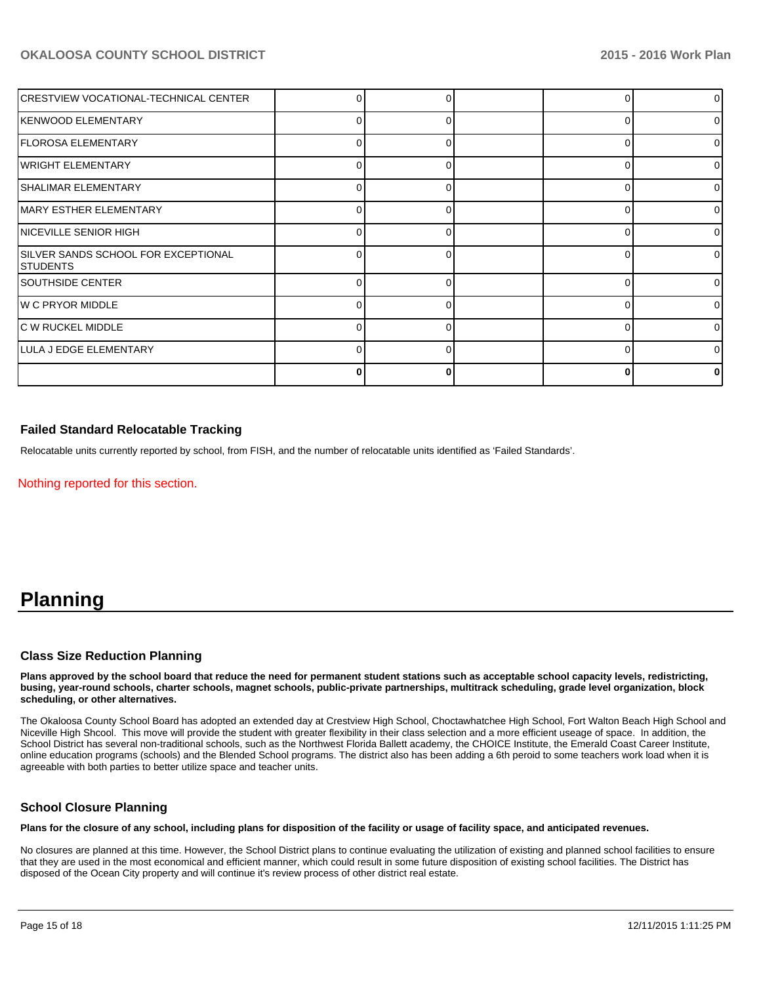| CRESTVIEW VOCATIONAL-TECHNICAL CENTER                  |              |  |   | 0              |
|--------------------------------------------------------|--------------|--|---|----------------|
| KENWOOD ELEMENTARY                                     | 0            |  |   | $\overline{0}$ |
| FLOROSA ELEMENTARY                                     |              |  |   | 01             |
| <b>WRIGHT ELEMENTARY</b>                               |              |  |   | 01             |
| SHALIMAR ELEMENTARY                                    | <sup>0</sup> |  | ∩ | $\overline{0}$ |
| <b>IMARY ESTHER ELEMENTARY</b>                         |              |  |   | 01             |
| <b>INICEVILLE SENIOR HIGH</b>                          |              |  |   | 01             |
| SILVER SANDS SCHOOL FOR EXCEPTIONAL<br><b>STUDENTS</b> | n            |  |   | $\Omega$       |
| <b>SOUTHSIDE CENTER</b>                                | ∩            |  |   | $\Omega$       |
| <b>W C PRYOR MIDDLE</b>                                |              |  |   | $\Omega$       |
| <b>C W RUCKEL MIDDLE</b>                               |              |  |   | 01             |
| LULA J EDGE ELEMENTARY                                 | 0            |  | C | $\overline{0}$ |
|                                                        |              |  |   |                |

## **Failed Standard Relocatable Tracking**

Relocatable units currently reported by school, from FISH, and the number of relocatable units identified as 'Failed Standards'.

Nothing reported for this section.

# **Planning**

#### **Class Size Reduction Planning**

**Plans approved by the school board that reduce the need for permanent student stations such as acceptable school capacity levels, redistricting, busing, year-round schools, charter schools, magnet schools, public-private partnerships, multitrack scheduling, grade level organization, block scheduling, or other alternatives.**

The Okaloosa County School Board has adopted an extended day at Crestview High School, Choctawhatchee High School, Fort Walton Beach High School and Niceville High Shcool. This move will provide the student with greater flexibility in their class selection and a more efficient useage of space. In addition, the School District has several non-traditional schools, such as the Northwest Florida Ballett academy, the CHOICE Institute, the Emerald Coast Career Institute, online education programs (schools) and the Blended School programs. The district also has been adding a 6th peroid to some teachers work load when it is agreeable with both parties to better utilize space and teacher units.

## **School Closure Planning**

**Plans for the closure of any school, including plans for disposition of the facility or usage of facility space, and anticipated revenues.**

No closures are planned at this time. However, the School District plans to continue evaluating the utilization of existing and planned school facilities to ensure that they are used in the most economical and efficient manner, which could result in some future disposition of existing school facilities. The District has disposed of the Ocean City property and will continue it's review process of other district real estate.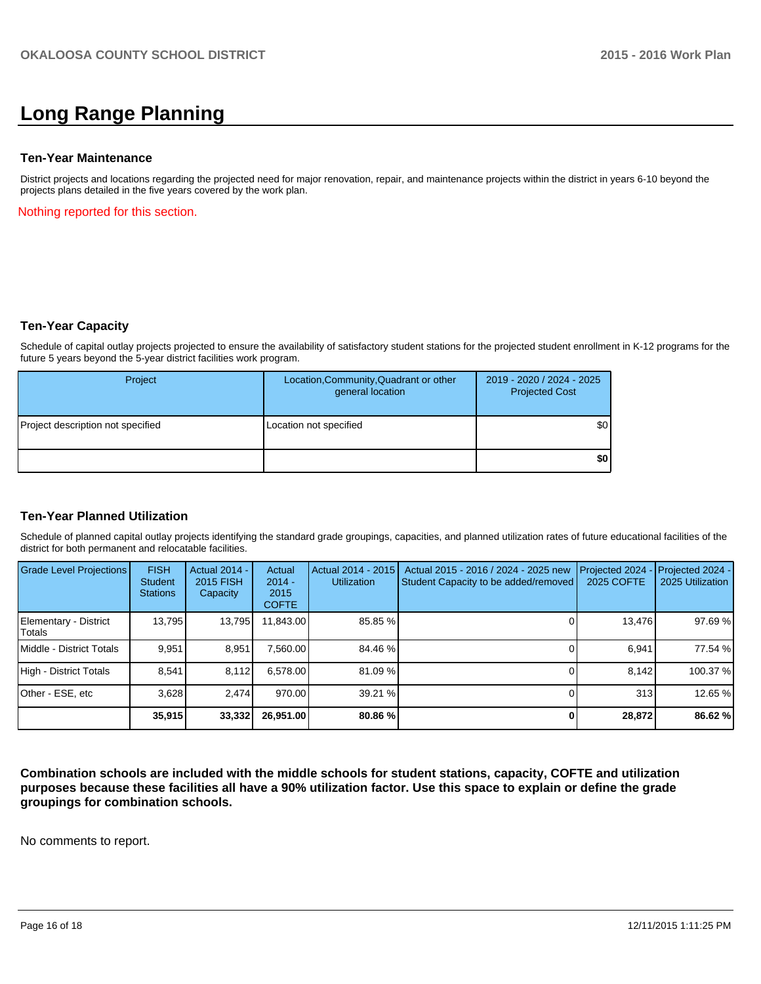# **Long Range Planning**

#### **Ten-Year Maintenance**

District projects and locations regarding the projected need for major renovation, repair, and maintenance projects within the district in years 6-10 beyond the projects plans detailed in the five years covered by the work plan.

Nothing reported for this section.

### **Ten-Year Capacity**

Schedule of capital outlay projects projected to ensure the availability of satisfactory student stations for the projected student enrollment in K-12 programs for the future 5 years beyond the 5-year district facilities work program.

| Project                           | Location, Community, Quadrant or other<br>general location | 2019 - 2020 / 2024 - 2025<br><b>Projected Cost</b> |
|-----------------------------------|------------------------------------------------------------|----------------------------------------------------|
| Project description not specified | Location not specified                                     | \$0                                                |
|                                   |                                                            | \$0                                                |

### **Ten-Year Planned Utilization**

Schedule of planned capital outlay projects identifying the standard grade groupings, capacities, and planned utilization rates of future educational facilities of the district for both permanent and relocatable facilities.

| <b>Grade Level Projections</b>  | <b>FISH</b><br><b>Student</b><br><b>Stations</b> | <b>Actual 2014 -</b><br>2015 FISH<br>Capacity | Actual<br>$2014 -$<br>2015<br><b>COFTE</b> | Actual 2014 - 2015<br><b>Utilization</b> | Actual 2015 - 2016 / 2024 - 2025 new<br>Student Capacity to be added/removed | Projected 2024<br>2025 COFTE | Projected 2024 -<br>2025 Utilization |
|---------------------------------|--------------------------------------------------|-----------------------------------------------|--------------------------------------------|------------------------------------------|------------------------------------------------------------------------------|------------------------------|--------------------------------------|
| Elementary - District<br>Totals | 13,795                                           | 13,795                                        | 11,843.00                                  | 85.85 %                                  |                                                                              | 13,476                       | 97.69 %                              |
| Middle - District Totals        | 9.951                                            | 8.951                                         | 7.560.00                                   | 84.46 %                                  |                                                                              | 6.941                        | 77.54 %                              |
| High - District Totals          | 8.541                                            | 8.112                                         | 6.578.00                                   | 81.09 %                                  |                                                                              | 8.142                        | 100.37 %                             |
| Other - ESE, etc                | 3.628                                            | 2.474                                         | 970.00                                     | 39.21 %                                  |                                                                              | 313                          | 12.65 %                              |
|                                 | 35,915                                           | 33,332                                        | 26,951.00                                  | 80.86%                                   |                                                                              | 28,872                       | 86.62 %                              |

**Combination schools are included with the middle schools for student stations, capacity, COFTE and utilization purposes because these facilities all have a 90% utilization factor. Use this space to explain or define the grade groupings for combination schools.**

No comments to report.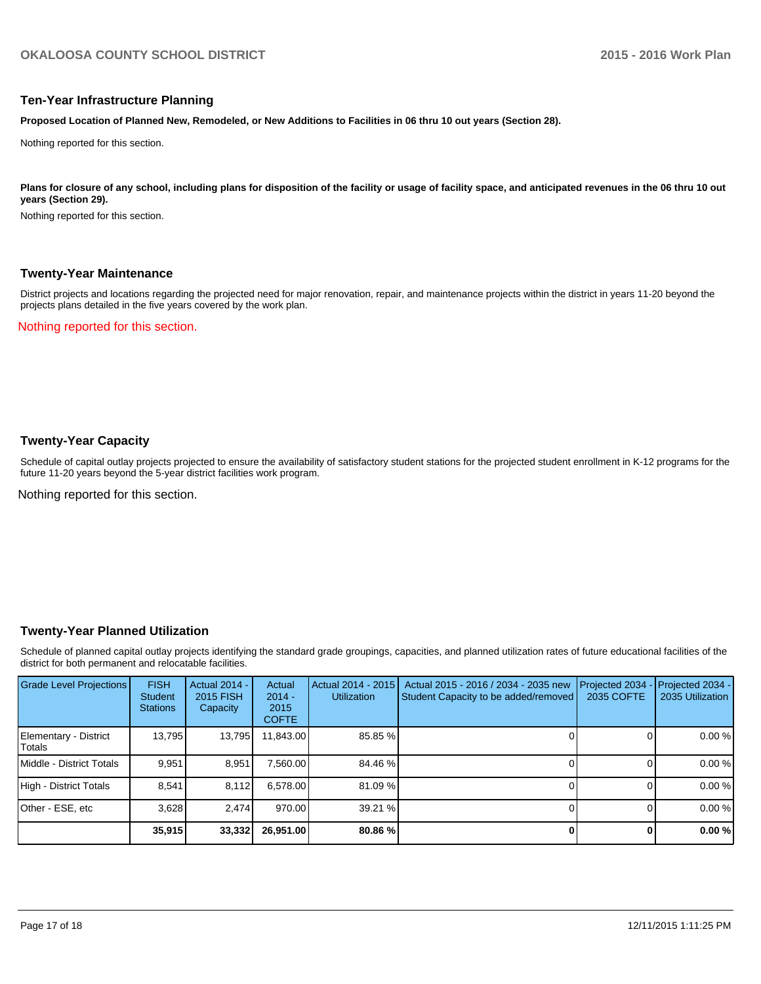#### **Ten-Year Infrastructure Planning**

**Proposed Location of Planned New, Remodeled, or New Additions to Facilities in 06 thru 10 out years (Section 28).**

Nothing reported for this section.

Plans for closure of any school, including plans for disposition of the facility or usage of facility space, and anticipated revenues in the 06 thru 10 out **years (Section 29).**

Nothing reported for this section.

#### **Twenty-Year Maintenance**

District projects and locations regarding the projected need for major renovation, repair, and maintenance projects within the district in years 11-20 beyond the projects plans detailed in the five years covered by the work plan.

Nothing reported for this section.

## **Twenty-Year Capacity**

Schedule of capital outlay projects projected to ensure the availability of satisfactory student stations for the projected student enrollment in K-12 programs for the future 11-20 years beyond the 5-year district facilities work program.

Nothing reported for this section.

### **Twenty-Year Planned Utilization**

Schedule of planned capital outlay projects identifying the standard grade groupings, capacities, and planned utilization rates of future educational facilities of the district for both permanent and relocatable facilities.

| <b>Grade Level Projections</b>  | <b>FISH</b><br><b>Student</b><br><b>Stations</b> | Actual 2014 -<br>2015 FISH<br>Capacity | Actual<br>$2014 -$<br>2015<br><b>COFTE</b> | Actual 2014 - 2015<br><b>Utilization</b> | Actual 2015 - 2016 / 2034 - 2035 new<br>Student Capacity to be added/removed | Projected 2034<br>2035 COFTE | Projected 2034 -<br>2035 Utilization |
|---------------------------------|--------------------------------------------------|----------------------------------------|--------------------------------------------|------------------------------------------|------------------------------------------------------------------------------|------------------------------|--------------------------------------|
| Elementary - District<br>Totals | 13,795                                           | 13,795                                 | 11,843.00                                  | 85.85 %                                  |                                                                              |                              | 0.00%                                |
| Middle - District Totals        | 9.951                                            | 8.951                                  | 7.560.00                                   | 84.46 %                                  |                                                                              |                              | 0.00%                                |
| High - District Totals          | 8.541                                            | 8.112                                  | 6.578.00                                   | 81.09 %                                  |                                                                              |                              | 0.00%                                |
| Other - ESE, etc                | 3.628                                            | 2.474                                  | 970.00                                     | 39.21 %                                  |                                                                              |                              | 0.00%                                |
|                                 | 35,915                                           | 33,332                                 | 26,951.00                                  | 80.86%                                   |                                                                              |                              | 0.00%                                |